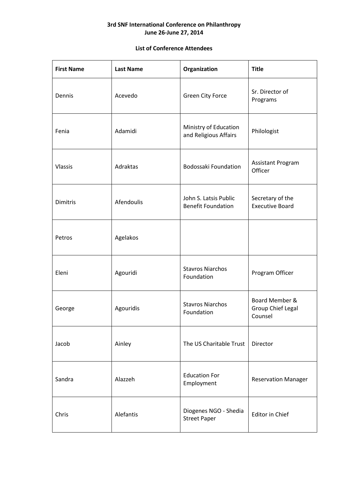| <b>First Name</b> | <b>Last Name</b> | Organization                                       | <b>Title</b>                                   |
|-------------------|------------------|----------------------------------------------------|------------------------------------------------|
| Dennis            | Acevedo          | <b>Green City Force</b>                            | Sr. Director of<br>Programs                    |
| Fenia             | Adamidi          | Ministry of Education<br>and Religious Affairs     | Philologist                                    |
| <b>Vlassis</b>    | Adraktas         | <b>Bodossaki Foundation</b>                        | Assistant Program<br>Officer                   |
| <b>Dimitris</b>   | Afendoulis       | John S. Latsis Public<br><b>Benefit Foundation</b> | Secretary of the<br><b>Executive Board</b>     |
| Petros            | Agelakos         |                                                    |                                                |
| Eleni             | Agouridi         | <b>Stavros Niarchos</b><br>Foundation              | Program Officer                                |
| George            | Agouridis        | <b>Stavros Niarchos</b><br>Foundation              | Board Member &<br>Group Chief Legal<br>Counsel |
| Jacob             | Ainley           | The US Charitable Trust                            | Director                                       |
| Sandra            | Alazzeh          | <b>Education For</b><br>Employment                 | <b>Reservation Manager</b>                     |
| Chris             | Alefantis        | Diogenes NGO - Shedia<br><b>Street Paper</b>       | Editor in Chief                                |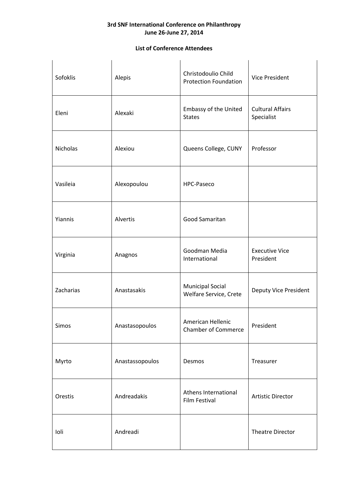| Sofoklis  | Alepis          | Christodoulio Child<br><b>Protection Foundation</b> | <b>Vice President</b>                 |
|-----------|-----------------|-----------------------------------------------------|---------------------------------------|
| Eleni     | Alexaki         | Embassy of the United<br><b>States</b>              | <b>Cultural Affairs</b><br>Specialist |
| Nicholas  | Alexiou         | Queens College, CUNY                                | Professor                             |
| Vasileia  | Alexopoulou     | HPC-Paseco                                          |                                       |
| Yiannis   | Alvertis        | Good Samaritan                                      |                                       |
| Virginia  | Anagnos         | Goodman Media<br>International                      | <b>Executive Vice</b><br>President    |
| Zacharias | Anastasakis     | <b>Municipal Social</b><br>Welfare Service, Crete   | Deputy Vice President                 |
| Simos     | Anastasopoulos  | American Hellenic<br><b>Chamber of Commerce</b>     | President                             |
| Myrto     | Anastassopoulos | Desmos                                              | Treasurer                             |
| Orestis   | Andreadakis     | Athens International<br>Film Festival               | <b>Artistic Director</b>              |
| Ioli      | Andreadi        |                                                     | Theatre Director                      |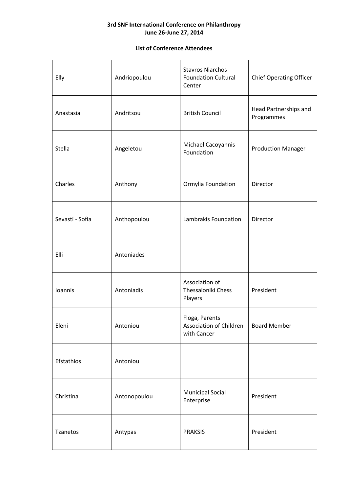| Elly            | Andriopoulou | <b>Stavros Niarchos</b><br><b>Foundation Cultural</b><br>Center | <b>Chief Operating Officer</b>      |
|-----------------|--------------|-----------------------------------------------------------------|-------------------------------------|
| Anastasia       | Andritsou    | <b>British Council</b>                                          | Head Partnerships and<br>Programmes |
| Stella          | Angeletou    | Michael Cacoyannis<br>Foundation                                | <b>Production Manager</b>           |
| Charles         | Anthony      | Ormylia Foundation                                              | Director                            |
| Sevasti - Sofia | Anthopoulou  | Lambrakis Foundation                                            | Director                            |
| Elli            | Antoniades   |                                                                 |                                     |
| Ioannis         | Antoniadis   | Association of<br>Thessaloniki Chess<br>Players                 | President                           |
| Eleni           | Antoniou     | Floga, Parents<br><b>Association of Children</b><br>with Cancer | <b>Board Member</b>                 |
| Efstathios      | Antoniou     |                                                                 |                                     |
| Christina       | Antonopoulou | <b>Municipal Social</b><br>Enterprise                           | President                           |
| Tzanetos        | Antypas      | <b>PRAKSIS</b>                                                  | President                           |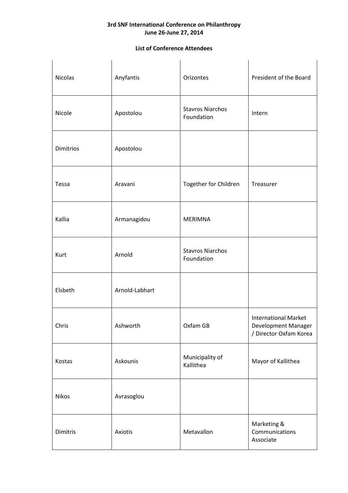| <b>Nicolas</b> | Anyfantis      | Orizontes                             | President of the Board                                                       |
|----------------|----------------|---------------------------------------|------------------------------------------------------------------------------|
| Nicole         | Apostolou      | <b>Stavros Niarchos</b><br>Foundation | Intern                                                                       |
| Dimitrios      | Apostolou      |                                       |                                                                              |
| Tessa          | Aravani        | Together for Children                 | Treasurer                                                                    |
| Kallia         | Armanagidou    | <b>MERIMNA</b>                        |                                                                              |
| Kurt           | Arnold         | <b>Stavros Niarchos</b><br>Foundation |                                                                              |
| Elsbeth        | Arnold-Labhart |                                       |                                                                              |
| Chris          | Ashworth       | Oxfam GB                              | <b>International Market</b><br>Development Manager<br>/ Director Oxfam Korea |
| Kostas         | Askounis       | Municipality of<br>Kallithea          | Mayor of Kallithea                                                           |
| Nikos          | Avrasoglou     |                                       |                                                                              |
| Dimitris       | Axiotis        | Metavallon                            | Marketing &<br>Communications<br>Associate                                   |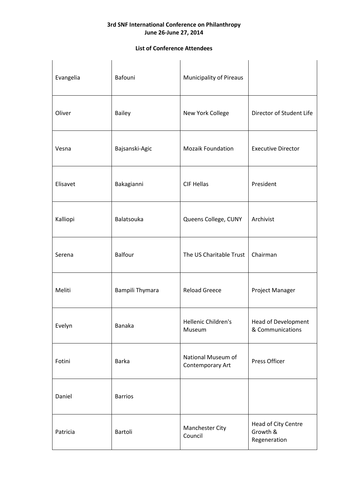| Evangelia | Bafouni         | <b>Municipality of Pireaus</b>         |                                                 |
|-----------|-----------------|----------------------------------------|-------------------------------------------------|
| Oliver    | Bailey          | New York College                       | Director of Student Life                        |
| Vesna     | Bajsanski-Agic  | <b>Mozaik Foundation</b>               | <b>Executive Director</b>                       |
| Elisavet  | Bakagianni      | <b>CIF Hellas</b>                      | President                                       |
| Kalliopi  | Balatsouka      | Queens College, CUNY                   | Archivist                                       |
| Serena    | Balfour         | The US Charitable Trust                | Chairman                                        |
| Meliti    | Bampili Thymara | <b>Reload Greece</b>                   | Project Manager                                 |
| Evelyn    | <b>Banaka</b>   | Hellenic Children's<br>Museum          | <b>Head of Development</b><br>& Communications  |
| Fotini    | <b>Barka</b>    | National Museum of<br>Contemporary Art | Press Officer                                   |
| Daniel    | <b>Barrios</b>  |                                        |                                                 |
| Patricia  | Bartoli         | Manchester City<br>Council             | Head of City Centre<br>Growth &<br>Regeneration |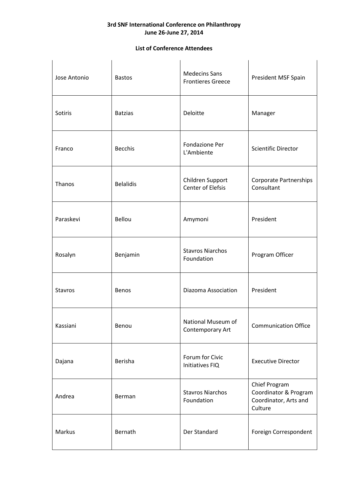| Jose Antonio   | <b>Bastos</b>    | <b>Medecins Sans</b><br><b>Frontieres Greece</b> | President MSF Spain                                                        |
|----------------|------------------|--------------------------------------------------|----------------------------------------------------------------------------|
| Sotiris        | <b>Batzias</b>   | Deloitte                                         | Manager                                                                    |
| Franco         | <b>Becchis</b>   | Fondazione Per<br>L'Ambiente                     | <b>Scientific Director</b>                                                 |
| Thanos         | <b>Belalidis</b> | Children Support<br><b>Center of Elefsis</b>     | Corporate Partnerships<br>Consultant                                       |
| Paraskevi      | Bellou           | Amymoni                                          | President                                                                  |
| Rosalyn        | Benjamin         | <b>Stavros Niarchos</b><br>Foundation            | Program Officer                                                            |
| <b>Stavros</b> | Benos            | Diazoma Association                              | President                                                                  |
| Kassiani       | Benou            | National Museum of<br>Contemporary Art           | <b>Communication Office</b>                                                |
| Dajana         | Berisha          | Forum for Civic<br>Initiatives FIQ               | <b>Executive Director</b>                                                  |
| Andrea         | Berman           | <b>Stavros Niarchos</b><br>Foundation            | Chief Program<br>Coordinator & Program<br>Coordinator, Arts and<br>Culture |
| Markus         | Bernath          | Der Standard                                     | Foreign Correspondent                                                      |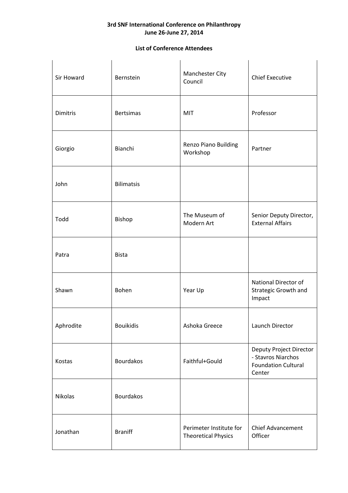| Sir Howard | Bernstein         | Manchester City<br>Council                            | <b>Chief Executive</b>                                                                |
|------------|-------------------|-------------------------------------------------------|---------------------------------------------------------------------------------------|
| Dimitris   | <b>Bertsimas</b>  | MIT                                                   | Professor                                                                             |
| Giorgio    | Bianchi           | Renzo Piano Building<br>Workshop                      | Partner                                                                               |
| John       | <b>Bilimatsis</b> |                                                       |                                                                                       |
| Todd       | Bishop            | The Museum of<br>Modern Art                           | Senior Deputy Director,<br><b>External Affairs</b>                                    |
| Patra      | <b>Bista</b>      |                                                       |                                                                                       |
| Shawn      | Bohen             | Year Up                                               | National Director of<br>Strategic Growth and<br>Impact                                |
| Aphrodite  | <b>Bouikidis</b>  | Ashoka Greece                                         | Launch Director                                                                       |
| Kostas     | <b>Bourdakos</b>  | Faithful+Gould                                        | Deputy Project Director<br>- Stavros Niarchos<br><b>Foundation Cultural</b><br>Center |
| Nikolas    | <b>Bourdakos</b>  |                                                       |                                                                                       |
| Jonathan   | <b>Braniff</b>    | Perimeter Institute for<br><b>Theoretical Physics</b> | <b>Chief Advancement</b><br>Officer                                                   |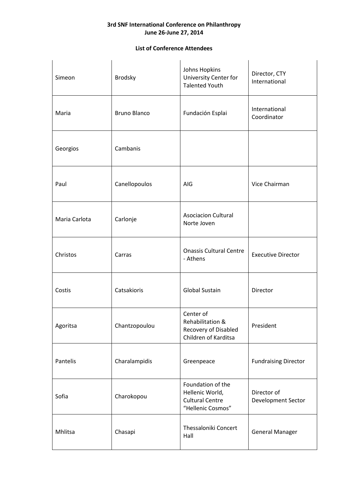| Simeon        | <b>Brodsky</b>      | Johns Hopkins<br>University Center for<br><b>Talented Youth</b>                     | Director, CTY<br>International    |
|---------------|---------------------|-------------------------------------------------------------------------------------|-----------------------------------|
| Maria         | <b>Bruno Blanco</b> | Fundación Esplai                                                                    | International<br>Coordinator      |
| Georgios      | Cambanis            |                                                                                     |                                   |
| Paul          | Canellopoulos       | AIG                                                                                 | Vice Chairman                     |
| Maria Carlota | Carlonje            | <b>Asociacion Cultural</b><br>Norte Joven                                           |                                   |
| Christos      | Carras              | <b>Onassis Cultural Centre</b><br>- Athens                                          | <b>Executive Director</b>         |
| Costis        | Catsakioris         | <b>Global Sustain</b>                                                               | Director                          |
| Agoritsa      | Chantzopoulou       | Center of<br>Rehabilitation &<br>Recovery of Disabled<br>Children of Karditsa       | President                         |
| Pantelis      | Charalampidis       | Greenpeace                                                                          | <b>Fundraising Director</b>       |
| Sofia         | Charokopou          | Foundation of the<br>Hellenic World,<br><b>Cultural Centre</b><br>"Hellenic Cosmos" | Director of<br>Development Sector |
| Mhlitsa       | Chasapi             | Thessaloniki Concert<br>Hall                                                        | <b>General Manager</b>            |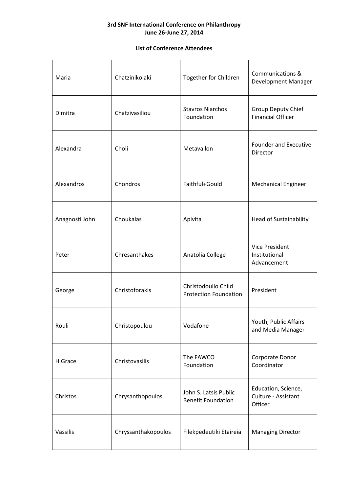| Maria          | Chatzinikolaki      | Together for Children                               | Communications &<br>Development Manager               |
|----------------|---------------------|-----------------------------------------------------|-------------------------------------------------------|
| Dimitra        | Chatzivasiliou      | <b>Stavros Niarchos</b><br>Foundation               | <b>Group Deputy Chief</b><br><b>Financial Officer</b> |
| Alexandra      | Choli               | Metavallon                                          | <b>Founder and Executive</b><br>Director              |
| Alexandros     | Chondros            | Faithful+Gould                                      | <b>Mechanical Engineer</b>                            |
| Anagnosti John | Choukalas           | Apivita                                             | <b>Head of Sustainability</b>                         |
| Peter          | Chresanthakes       | Anatolia College                                    | <b>Vice President</b><br>Institutional<br>Advancement |
| George         | Christoforakis      | Christodoulio Child<br><b>Protection Foundation</b> | President                                             |
| Rouli          | Christopoulou       | Vodafone                                            | Youth, Public Affairs<br>and Media Manager            |
| H.Grace        | Christovasilis      | The FAWCO<br>Foundation                             | Corporate Donor<br>Coordinator                        |
| Christos       | Chrysanthopoulos    | John S. Latsis Public<br><b>Benefit Foundation</b>  | Education, Science,<br>Culture - Assistant<br>Officer |
| Vassilis       | Chryssanthakopoulos | Filekpedeutiki Etaireia                             | <b>Managing Director</b>                              |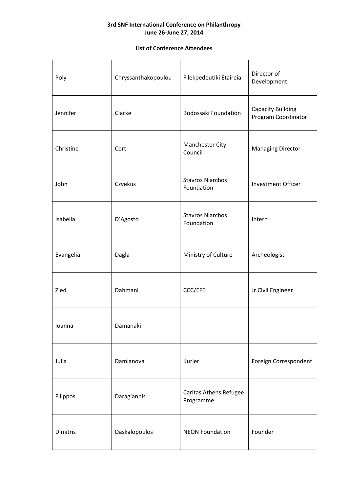| Poly      | Chryssanthakopoulou | Filekpedeutiki Etaireia               | Director of<br>Development                      |
|-----------|---------------------|---------------------------------------|-------------------------------------------------|
| Jennifer  | Clarke              | Bodossaki Foundation                  | <b>Capacity Building</b><br>Program Coordinator |
| Christine | Cort                | <b>Manchester City</b><br>Council     | <b>Managing Director</b>                        |
| John      | Czvekus             | <b>Stavros Niarchos</b><br>Foundation | <b>Investment Officer</b>                       |
| Isabella  | D'Agosto            | <b>Stavros Niarchos</b><br>Foundation | Intern                                          |
| Evangelia | Dagla               | Ministry of Culture                   | Archeologist                                    |
| Zied      | Dahmani             | CCC/EFE                               | Jr.Civil Engineer                               |
| Ioanna    | Damanaki            |                                       |                                                 |
| Julia     | Damianova           | Kurier                                | Foreign Correspondent                           |
| Filippos  | Daragiannis         | Caritas Athens Refugee<br>Programme   |                                                 |
| Dimitris  | Daskalopoulos       | <b>NEON Foundation</b>                | Founder                                         |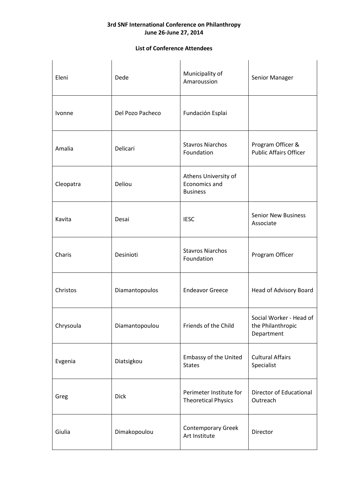| Eleni     | Dede             | Municipality of<br>Amaroussion                           | Senior Manager                                             |
|-----------|------------------|----------------------------------------------------------|------------------------------------------------------------|
| Ivonne    | Del Pozo Pacheco | Fundación Esplai                                         |                                                            |
| Amalia    | Delicari         | <b>Stavros Niarchos</b><br>Foundation                    | Program Officer &<br><b>Public Affairs Officer</b>         |
| Cleopatra | Deliou           | Athens University of<br>Economics and<br><b>Business</b> |                                                            |
| Kavita    | Desai            | <b>IESC</b>                                              | <b>Senior New Business</b><br>Associate                    |
| Charis    | Desinioti        | <b>Stavros Niarchos</b><br>Foundation                    | Program Officer                                            |
| Christos  | Diamantopoulos   | <b>Endeavor Greece</b>                                   | Head of Advisory Board                                     |
| Chrysoula | Diamantopoulou   | Friends of the Child                                     | Social Worker - Head of<br>the Philanthropic<br>Department |
| Evgenia   | Diatsigkou       | <b>Embassy of the United</b><br><b>States</b>            | <b>Cultural Affairs</b><br>Specialist                      |
| Greg      | <b>Dick</b>      | Perimeter Institute for<br><b>Theoretical Physics</b>    | Director of Educational<br>Outreach                        |
| Giulia    | Dimakopoulou     | <b>Contemporary Greek</b><br>Art Institute               | Director                                                   |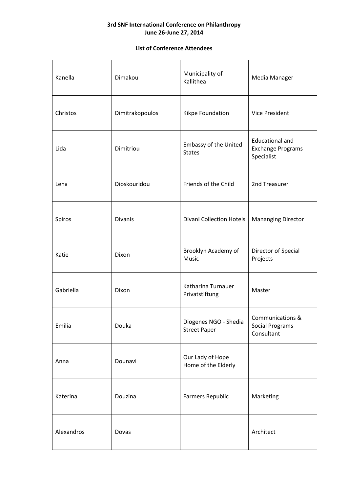| Kanella    | Dimakou         | Municipality of<br>Kallithea                  | Media Manager                                                    |
|------------|-----------------|-----------------------------------------------|------------------------------------------------------------------|
| Christos   | Dimitrakopoulos | Kikpe Foundation                              | Vice President                                                   |
| Lida       | Dimitriou       | <b>Embassy of the United</b><br><b>States</b> | <b>Educational and</b><br><b>Exchange Programs</b><br>Specialist |
| Lena       | Dioskouridou    | Friends of the Child                          | 2nd Treasurer                                                    |
| Spiros     | <b>Divanis</b>  | <b>Divani Collection Hotels</b>               | <b>Mananging Director</b>                                        |
| Katie      | Dixon           | Brooklyn Academy of<br>Music                  | Director of Special<br>Projects                                  |
| Gabriella  | Dixon           | Katharina Turnauer<br>Privatstiftung          | Master                                                           |
| Emilia     | Douka           | Diogenes NGO - Shedia<br><b>Street Paper</b>  | Communications &<br><b>Social Programs</b><br>Consultant         |
| Anna       | Dounavi         | Our Lady of Hope<br>Home of the Elderly       |                                                                  |
| Katerina   | Douzina         | <b>Farmers Republic</b>                       | Marketing                                                        |
| Alexandros | Dovas           |                                               | Architect                                                        |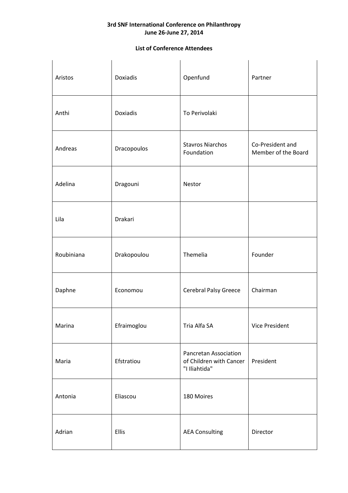| Aristos    | Doxiadis    | Openfund                                                          | Partner                                 |
|------------|-------------|-------------------------------------------------------------------|-----------------------------------------|
| Anthi      | Doxiadis    | To Perivolaki                                                     |                                         |
| Andreas    | Dracopoulos | <b>Stavros Niarchos</b><br>Foundation                             | Co-President and<br>Member of the Board |
| Adelina    | Dragouni    | Nestor                                                            |                                         |
| Lila       | Drakari     |                                                                   |                                         |
| Roubiniana | Drakopoulou | Themelia                                                          | Founder                                 |
| Daphne     | Economou    | Cerebral Palsy Greece                                             | Chairman                                |
| Marina     | Efraimoglou | Tria Alfa SA                                                      | <b>Vice President</b>                   |
| Maria      | Efstratiou  | Pancretan Association<br>of Children with Cancer<br>"I Iliahtida" | President                               |
| Antonia    | Eliascou    | 180 Moires                                                        |                                         |
| Adrian     | Ellis       | <b>AEA Consulting</b>                                             | Director                                |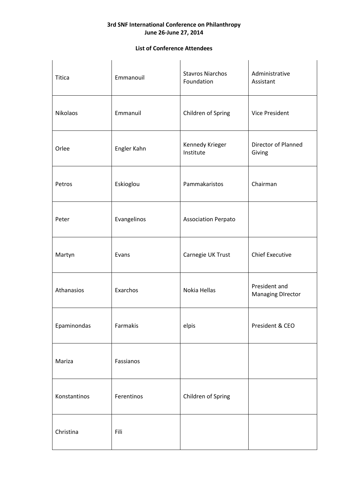| <b>Titica</b> | Emmanouil   | <b>Stavros Niarchos</b><br>Foundation | Administrative<br>Assistant               |
|---------------|-------------|---------------------------------------|-------------------------------------------|
| Nikolaos      | Emmanuil    | Children of Spring                    | <b>Vice President</b>                     |
| Orlee         | Engler Kahn | Kennedy Krieger<br>Institute          | <b>Director of Planned</b><br>Giving      |
| Petros        | Eskioglou   | Pammakaristos                         | Chairman                                  |
| Peter         | Evangelinos | <b>Association Perpato</b>            |                                           |
| Martyn        | Evans       | Carnegie UK Trust                     | <b>Chief Executive</b>                    |
| Athanasios    | Exarchos    | Nokia Hellas                          | President and<br><b>Managing DIrector</b> |
| Epaminondas   | Farmakis    | elpis                                 | President & CEO                           |
| Mariza        | Fassianos   |                                       |                                           |
| Konstantinos  | Ferentinos  | Children of Spring                    |                                           |
| Christina     | Fili        |                                       |                                           |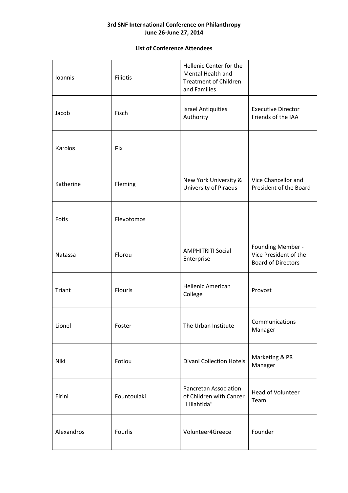| Ioannis    | Filiotis    | Hellenic Center for the<br>Mental Health and<br><b>Treatment of Children</b><br>and Families |                                                                         |
|------------|-------------|----------------------------------------------------------------------------------------------|-------------------------------------------------------------------------|
| Jacob      | Fisch       | <b>Israel Antiquities</b><br>Authority                                                       | <b>Executive Director</b><br>Friends of the IAA                         |
| Karolos    | Fix         |                                                                                              |                                                                         |
| Katherine  | Fleming     | New York University &<br>University of Piraeus                                               | Vice Chancellor and<br>President of the Board                           |
| Fotis      | Flevotomos  |                                                                                              |                                                                         |
| Natassa    | Florou      | <b>AMPHITRITI Social</b><br>Enterprise                                                       | Founding Member -<br>Vice President of the<br><b>Board of Directors</b> |
| Triant     | Flouris     | <b>Hellenic American</b><br>College                                                          | Provost                                                                 |
| Lionel     | Foster      | The Urban Institute                                                                          | Communications<br>Manager                                               |
| Niki       | Fotiou      | <b>Divani Collection Hotels</b>                                                              | Marketing & PR<br>Manager                                               |
| Eirini     | Fountoulaki | Pancretan Association<br>of Children with Cancer<br>"I Iliahtida"                            | Head of Volunteer<br>Team                                               |
| Alexandros | Fourlis     | Volunteer4Greece                                                                             | Founder                                                                 |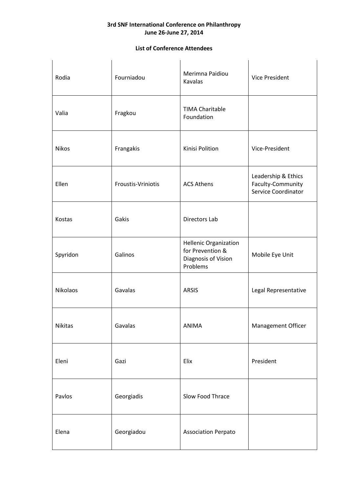| Rodia           | Fourniadou         | Merimna Paidiou<br>Kavalas                                                          | Vice President                                                  |
|-----------------|--------------------|-------------------------------------------------------------------------------------|-----------------------------------------------------------------|
| Valia           | Fragkou            | <b>TIMA Charitable</b><br>Foundation                                                |                                                                 |
| <b>Nikos</b>    | Frangakis          | Kinisi Polition                                                                     | Vice-President                                                  |
| Ellen           | Froustis-Vriniotis | <b>ACS Athens</b>                                                                   | Leadership & Ethics<br>Faculty-Community<br>Service Coordinator |
| Kostas          | Gakis              | Directors Lab                                                                       |                                                                 |
| Spyridon        | Galinos            | <b>Hellenic Organization</b><br>for Prevention &<br>Diagnosis of Vision<br>Problems | Mobile Eye Unit                                                 |
| <b>Nikolaos</b> | Gavalas            | <b>ARSIS</b>                                                                        | Legal Representative                                            |
| Nikitas         | Gavalas            | ANIMA                                                                               | Management Officer                                              |
| Eleni           | Gazi               | Elix                                                                                | President                                                       |
| Pavlos          | Georgiadis         | Slow Food Thrace                                                                    |                                                                 |
| Elena           | Georgiadou         | <b>Association Perpato</b>                                                          |                                                                 |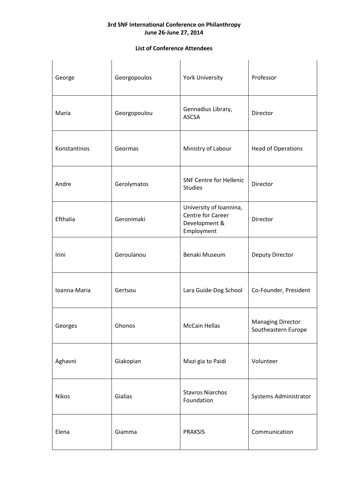| George       | Georgopoulos | <b>York University</b>                                                             | Professor                                       |
|--------------|--------------|------------------------------------------------------------------------------------|-------------------------------------------------|
| Maria        | Georgopoulou | Gennadius Library,<br><b>ASCSA</b>                                                 | Director                                        |
| Konstantinos | Geormas      | Ministry of Labour                                                                 | <b>Head of Operations</b>                       |
| Andre        | Gerolymatos  | <b>SNF Centre for Hellenic</b><br><b>Studies</b>                                   | Director                                        |
| Efthalia     | Geronimaki   | University of Ioannina,<br><b>Centre for Career</b><br>Development &<br>Employment | Director                                        |
| Irini        | Geroulanou   | Benaki Museum                                                                      | Deputy Director                                 |
| Ioanna-Maria | Gertsou      | Lara Guide-Dog School                                                              | Co-Founder, President                           |
| Georges      | Ghonos       | <b>McCain Hellas</b>                                                               | <b>Managing Director</b><br>Southeastern Europe |
| Aghavni      | Giakopian    | Mazi gia to Paidi                                                                  | Volunteer                                       |
| <b>Nikos</b> | Gialias      | <b>Stavros Niarchos</b><br>Foundation                                              | Systems Administrator                           |
| Elena        | Giamma       | <b>PRAKSIS</b>                                                                     | Communication                                   |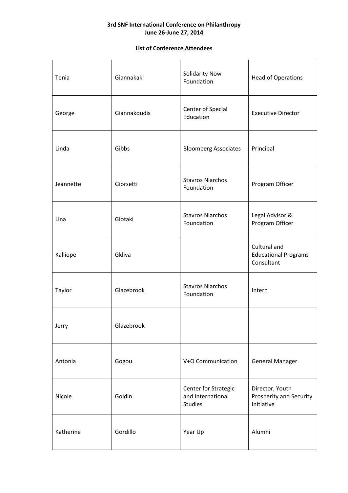| Tenia     | Giannakaki   | Solidarity Now<br>Foundation                                | <b>Head of Operations</b>                                 |
|-----------|--------------|-------------------------------------------------------------|-----------------------------------------------------------|
| George    | Giannakoudis | Center of Special<br>Education                              | <b>Executive Director</b>                                 |
| Linda     | Gibbs        | <b>Bloomberg Associates</b>                                 | Principal                                                 |
| Jeannette | Giorsetti    | <b>Stavros Niarchos</b><br>Foundation                       | Program Officer                                           |
| Lina      | Giotaki      | <b>Stavros Niarchos</b><br>Foundation                       | Legal Advisor &<br>Program Officer                        |
| Kalliope  | Gkliva       |                                                             | Cultural and<br><b>Educational Programs</b><br>Consultant |
| Taylor    | Glazebrook   | <b>Stavros Niarchos</b><br>Foundation                       | Intern                                                    |
| Jerry     | Glazebrook   |                                                             |                                                           |
| Antonia   | Gogou        | V+O Communication                                           | <b>General Manager</b>                                    |
| Nicole    | Goldin       | Center for Strategic<br>and International<br><b>Studies</b> | Director, Youth<br>Prosperity and Security<br>Initiative  |
| Katherine | Gordillo     | Year Up                                                     | Alumni                                                    |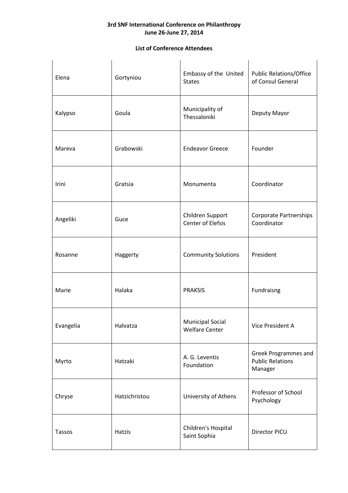| Elena     | Gortyniou     | Embassy of the United<br><b>States</b>           | <b>Public Relations/Office</b><br>of Consul General        |
|-----------|---------------|--------------------------------------------------|------------------------------------------------------------|
| Kalypso   | Goula         | Municipality of<br>Thessaloniki                  | Deputy Mayor                                               |
| Mareva    | Grabowski     | <b>Endeavor Greece</b>                           | Founder                                                    |
| Irini     | Gratsia       | Monumenta                                        | Coordinator                                                |
| Angeliki  | Guce          | Children Support<br><b>Center of Elefsis</b>     | <b>Corporate Partnerships</b><br>Coordinator               |
| Rosanne   | Haggerty      | <b>Community Solutions</b>                       | President                                                  |
| Marie     | Halaka        | <b>PRAKSIS</b>                                   | Fundraisng                                                 |
| Evangelia | Halvatza      | <b>Municipal Social</b><br><b>Welfare Center</b> | Vice President A                                           |
| Myrto     | Hatzaki       | A. G. Leventis<br>Foundation                     | Greek Programmes and<br><b>Public Relations</b><br>Manager |
| Chryse    | Hatzichristou | University of Athens                             | Professor of School<br>Psychology                          |
| Tassos    | Hatzis        | Children's Hospital<br>Saint Sophia              | Director PICU                                              |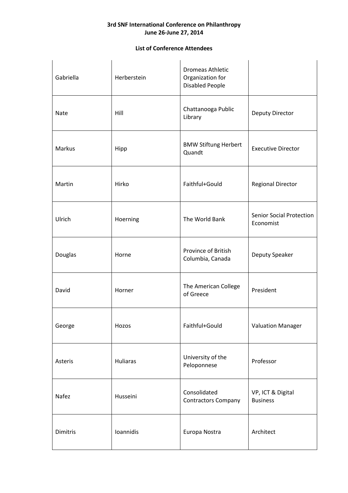| Gabriella | Herberstein     | <b>Dromeas Athletic</b><br>Organization for<br><b>Disabled People</b> |                                              |
|-----------|-----------------|-----------------------------------------------------------------------|----------------------------------------------|
| Nate      | Hill            | Chattanooga Public<br>Library                                         | Deputy Director                              |
| Markus    | Hipp            | <b>BMW Stiftung Herbert</b><br>Quandt                                 | <b>Executive Director</b>                    |
| Martin    | Hirko           | Faithful+Gould                                                        | <b>Regional Director</b>                     |
| Ulrich    | Hoerning        | The World Bank                                                        | <b>Senior Social Protection</b><br>Economist |
| Douglas   | Horne           | Province of British<br>Columbia, Canada                               | Deputy Speaker                               |
| David     | Horner          | The American College<br>of Greece                                     | President                                    |
| George    | Hozos           | Faithful+Gould                                                        | <b>Valuation Manager</b>                     |
| Asteris   | <b>Huliaras</b> | University of the<br>Peloponnese                                      | Professor                                    |
| Nafez     | Husseini        | Consolidated<br><b>Contractors Company</b>                            | VP, ICT & Digital<br><b>Business</b>         |
| Dimitris  | Ioannidis       | Europa Nostra                                                         | Architect                                    |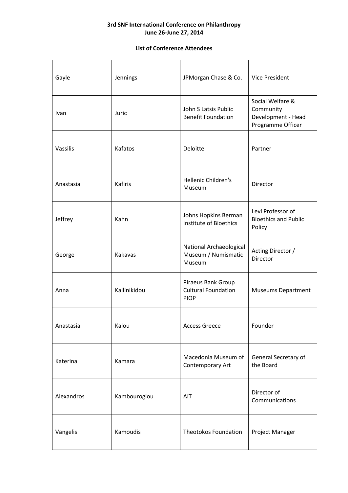| Gayle      | Jennings       | JPMorgan Chase & Co.                                            | <b>Vice President</b>                                                    |
|------------|----------------|-----------------------------------------------------------------|--------------------------------------------------------------------------|
| Ivan       | Juric          | John S Latsis Public<br><b>Benefit Foundation</b>               | Social Welfare &<br>Community<br>Development - Head<br>Programme Officer |
| Vassilis   | Kafatos        | Deloitte                                                        | Partner                                                                  |
| Anastasia  | <b>Kafiris</b> | Hellenic Children's<br>Museum                                   | Director                                                                 |
| Jeffrey    | Kahn           | Johns Hopkins Berman<br>Institute of Bioethics                  | Levi Professor of<br><b>Bioethics and Public</b><br>Policy               |
| George     | Kakavas        | National Archaeological<br>Museum / Numismatic<br>Museum        | Acting Director /<br>Director                                            |
| Anna       | Kallinikidou   | Piraeus Bank Group<br><b>Cultural Foundation</b><br><b>PIOP</b> | <b>Museums Department</b>                                                |
| Anastasia  | Kalou          | <b>Access Greece</b>                                            | Founder                                                                  |
| Katerina   | Kamara         | Macedonia Museum of<br>Contemporary Art                         | General Secretary of<br>the Board                                        |
| Alexandros | Kambouroglou   | AIT                                                             | Director of<br>Communications                                            |
| Vangelis   | Kamoudis       | <b>Theotokos Foundation</b>                                     | Project Manager                                                          |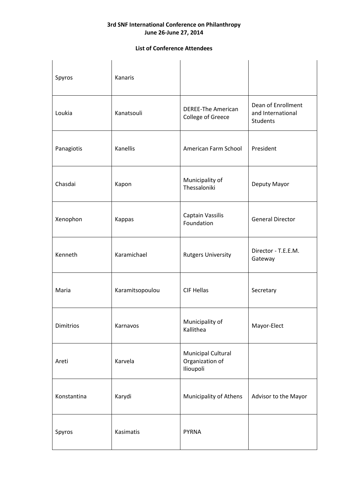| Spyros      | Kanaris         |                                                    |                                                            |
|-------------|-----------------|----------------------------------------------------|------------------------------------------------------------|
| Loukia      | Kanatsouli      | <b>DEREE-The American</b><br>College of Greece     | Dean of Enrollment<br>and International<br><b>Students</b> |
| Panagiotis  | Kanellis        | American Farm School                               | President                                                  |
| Chasdai     | Kapon           | Municipality of<br>Thessaloniki                    | Deputy Mayor                                               |
| Xenophon    | Kappas          | Captain Vassilis<br>Foundation                     | <b>General Director</b>                                    |
| Kenneth     | Karamichael     | <b>Rutgers University</b>                          | Director - T.E.E.M.<br>Gateway                             |
| Maria       | Karamitsopoulou | <b>CIF Hellas</b>                                  | Secretary                                                  |
| Dimitrios   | Karnavos        | Municipality of<br>Kallithea                       | Mayor-Elect                                                |
| Areti       | Karvela         | Municipal Cultural<br>Organization of<br>Ilioupoli |                                                            |
| Konstantina | Karydi          | Municipality of Athens                             | Advisor to the Mayor                                       |
| Spyros      | Kasimatis       | <b>PYRNA</b>                                       |                                                            |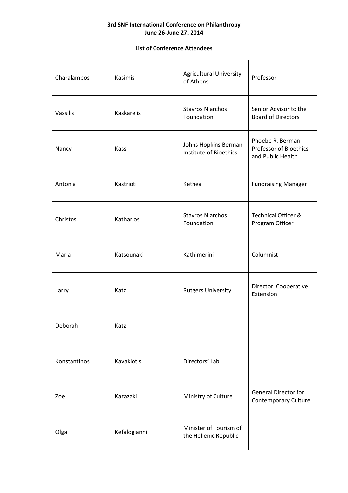| Charalambos  | Kasimis      | <b>Agricultural University</b><br>of Athens     | Professor                                                              |
|--------------|--------------|-------------------------------------------------|------------------------------------------------------------------------|
| Vassilis     | Kaskarelis   | <b>Stavros Niarchos</b><br>Foundation           | Senior Advisor to the<br><b>Board of Directors</b>                     |
| Nancy        | Kass         | Johns Hopkins Berman<br>Institute of Bioethics  | Phoebe R. Berman<br><b>Professor of Bioethics</b><br>and Public Health |
| Antonia      | Kastrioti    | Kethea                                          | <b>Fundraising Manager</b>                                             |
| Christos     | Katharios    | <b>Stavros Niarchos</b><br>Foundation           | <b>Technical Officer &amp;</b><br>Program Officer                      |
| Maria        | Katsounaki   | Kathimerini                                     | Columnist                                                              |
| Larry        | Katz         | <b>Rutgers University</b>                       | Director, Cooperative<br>Extension                                     |
| Deborah      | Katz         |                                                 |                                                                        |
| Konstantinos | Kavakiotis   | Directors' Lab                                  |                                                                        |
| Zoe          | Kazazaki     | Ministry of Culture                             | <b>General Director for</b><br><b>Contemporary Culture</b>             |
| Olga         | Kefalogianni | Minister of Tourism of<br>the Hellenic Republic |                                                                        |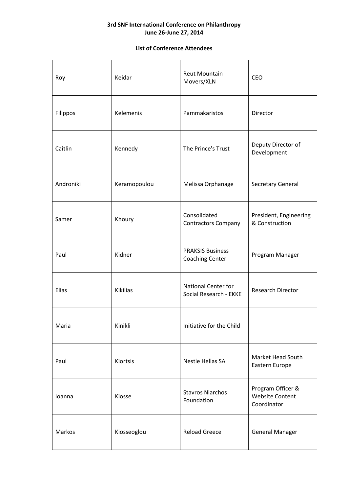| Roy       | Keidar          | <b>Reut Mountain</b><br>Movers/XLN                   | <b>CEO</b>                                                 |
|-----------|-----------------|------------------------------------------------------|------------------------------------------------------------|
| Filippos  | Kelemenis       | Pammakaristos                                        | Director                                                   |
| Caitlin   | Kennedy         | The Prince's Trust                                   | Deputy Director of<br>Development                          |
| Androniki | Keramopoulou    | Melissa Orphanage                                    | Secretary General                                          |
| Samer     | Khoury          | Consolidated<br><b>Contractors Company</b>           | President, Engineering<br>& Construction                   |
| Paul      | Kidner          | <b>PRAKSIS Business</b><br><b>Coaching Center</b>    | Program Manager                                            |
| Elias     | <b>Kikilias</b> | <b>National Center for</b><br>Social Research - EKKE | <b>Research Director</b>                                   |
| Maria     | Kinikli         | Initiative for the Child                             |                                                            |
| Paul      | Kiortsis        | Nestle Hellas SA                                     | <b>Market Head South</b><br>Eastern Europe                 |
| Ioanna    | Kiosse          | <b>Stavros Niarchos</b><br>Foundation                | Program Officer &<br><b>Website Content</b><br>Coordinator |
| Markos    | Kiosseoglou     | <b>Reload Greece</b>                                 | <b>General Manager</b>                                     |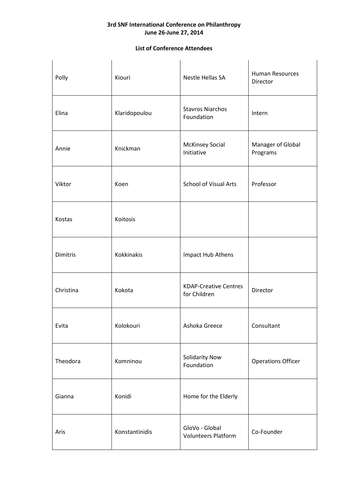| Polly     | Kiouri         | Nestle Hellas SA                             | <b>Human Resources</b><br>Director |
|-----------|----------------|----------------------------------------------|------------------------------------|
| Elina     | Klaridopoulou  | <b>Stavros Niarchos</b><br>Foundation        | Intern                             |
| Annie     | Knickman       | <b>McKinsey Social</b><br>Initiative         | Manager of Global<br>Programs      |
| Viktor    | Koen           | <b>School of Visual Arts</b>                 | Professor                          |
| Kostas    | Koitosis       |                                              |                                    |
| Dimitris  | Kokkinakis     | Impact Hub Athens                            |                                    |
| Christina | Kokota         | <b>KDAP-Creative Centres</b><br>for Children | Director                           |
| Evita     | Kolokouri      | Ashoka Greece                                | Consultant                         |
| Theodora  | Komninou       | Solidarity Now<br>Foundation                 | <b>Operations Officer</b>          |
| Gianna    | Konidi         | Home for the Elderly                         |                                    |
| Aris      | Konstantinidis | GloVo - Global<br><b>Volunteers Platform</b> | Co-Founder                         |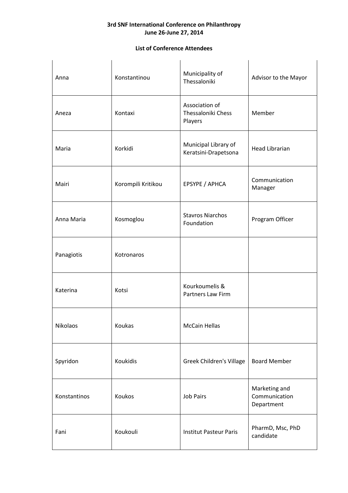| Anna         | Konstantinou       | Municipality of<br>Thessaloniki                 | Advisor to the Mayor                         |
|--------------|--------------------|-------------------------------------------------|----------------------------------------------|
| Aneza        | Kontaxi            | Association of<br>Thessaloniki Chess<br>Players | Member                                       |
| Maria        | Korkidi            | Municipal Library of<br>Keratsini-Drapetsona    | <b>Head Librarian</b>                        |
| Mairi        | Korompili Kritikou | EPSYPE / APHCA                                  | Communication<br>Manager                     |
| Anna Maria   | Kosmoglou          | <b>Stavros Niarchos</b><br>Foundation           | Program Officer                              |
| Panagiotis   | Kotronaros         |                                                 |                                              |
| Katerina     | Kotsi              | Kourkoumelis &<br><b>Partners Law Firm</b>      |                                              |
| Nikolaos     | Koukas             | <b>McCain Hellas</b>                            |                                              |
| Spyridon     | Koukidis           | <b>Greek Children's Village</b>                 | <b>Board Member</b>                          |
| Konstantinos | Koukos             | <b>Job Pairs</b>                                | Marketing and<br>Communication<br>Department |
| Fani         | Koukouli           | <b>Institut Pasteur Paris</b>                   | PharmD, Msc, PhD<br>candidate                |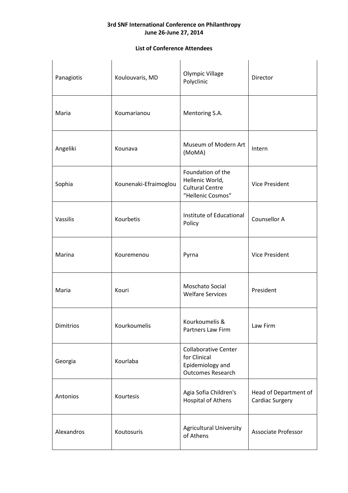| Panagiotis | Koulouvaris, MD       | Olympic Village<br>Polyclinic                                                               | Director                                 |
|------------|-----------------------|---------------------------------------------------------------------------------------------|------------------------------------------|
| Maria      | Koumarianou           | Mentoring S.A.                                                                              |                                          |
| Angeliki   | Kounava               | Museum of Modern Art<br>(MoMA)                                                              | Intern                                   |
| Sophia     | Kounenaki-Efraimoglou | Foundation of the<br>Hellenic World,<br><b>Cultural Centre</b><br>"Hellenic Cosmos"         | <b>Vice President</b>                    |
| Vassilis   | Kourbetis             | Institute of Educational<br>Policy                                                          | Counsellor A                             |
| Marina     | Kouremenou            | Pyrna                                                                                       | <b>Vice President</b>                    |
| Maria      | Kouri                 | Moschato Social<br><b>Welfare Services</b>                                                  | President                                |
| Dimitrios  | Kourkoumelis          | Kourkoumelis &<br>Partners Law Firm                                                         | Law Firm                                 |
| Georgia    | Kourlaba              | <b>Collaborative Center</b><br>for Clinical<br>Epidemiology and<br><b>Outcomes Research</b> |                                          |
| Antonios   | Kourtesis             | Agia Sofia Children's<br><b>Hospital of Athens</b>                                          | Head of Department of<br>Cardiac Surgery |
| Alexandros | Koutosuris            | <b>Agricultural University</b><br>of Athens                                                 | <b>Associate Professor</b>               |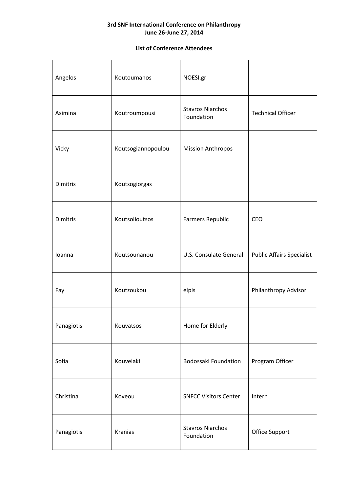| Angelos    | Koutoumanos        | NOESI.gr                              |                                  |
|------------|--------------------|---------------------------------------|----------------------------------|
| Asimina    | Koutroumpousi      | <b>Stavros Niarchos</b><br>Foundation | <b>Technical Officer</b>         |
| Vicky      | Koutsogiannopoulou | <b>Mission Anthropos</b>              |                                  |
| Dimitris   | Koutsogiorgas      |                                       |                                  |
| Dimitris   | Koutsolioutsos     | Farmers Republic                      | CEO                              |
| Ioanna     | Koutsounanou       | U.S. Consulate General                | <b>Public Affairs Specialist</b> |
| Fay        | Koutzoukou         | elpis                                 | Philanthropy Advisor             |
| Panagiotis | Kouvatsos          | Home for Elderly                      |                                  |
| Sofia      | Kouvelaki          | Bodossaki Foundation                  | Program Officer                  |
| Christina  | Koveou             | <b>SNFCC Visitors Center</b>          | Intern                           |
| Panagiotis | Kranias            | <b>Stavros Niarchos</b><br>Foundation | <b>Office Support</b>            |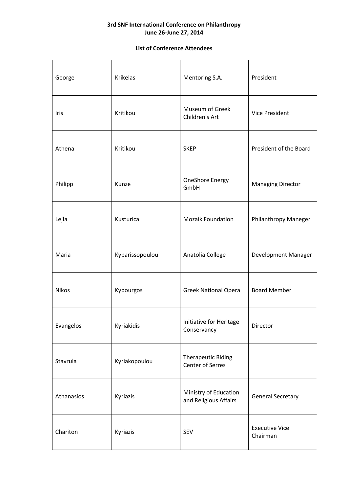| George     | <b>Krikelas</b> | Mentoring S.A.                                       | President                         |
|------------|-----------------|------------------------------------------------------|-----------------------------------|
| Iris       | Kritikou        | Museum of Greek<br>Children's Art                    | <b>Vice President</b>             |
| Athena     | Kritikou        | <b>SKEP</b>                                          | President of the Board            |
| Philipp    | Kunze           | <b>OneShore Energy</b><br>GmbH                       | <b>Managing Director</b>          |
| Lejla      | Kusturica       | <b>Mozaik Foundation</b>                             | Philanthropy Maneger              |
| Maria      | Kyparissopoulou | Anatolia College                                     | Development Manager               |
| Nikos      | Kypourgos       | <b>Greek National Opera</b>                          | <b>Board Member</b>               |
| Evangelos  | Kyriakidis      | Initiative for Heritage<br>Conservancy               | Director                          |
| Stavrula   | Kyriakopoulou   | <b>Therapeutic Riding</b><br><b>Center of Serres</b> |                                   |
| Athanasios | Kyriazis        | Ministry of Education<br>and Religious Affairs       | <b>General Secretary</b>          |
| Chariton   | Kyriazis        | <b>SEV</b>                                           | <b>Executive Vice</b><br>Chairman |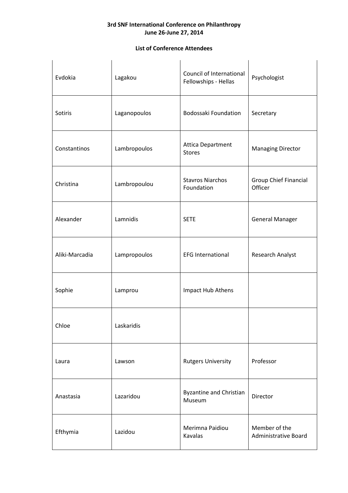| Evdokia        | Lagakou      | Council of International<br>Fellowships - Hellas | Psychologist                                 |
|----------------|--------------|--------------------------------------------------|----------------------------------------------|
| Sotiris        | Laganopoulos | Bodossaki Foundation                             | Secretary                                    |
| Constantinos   | Lambropoulos | <b>Attica Department</b><br><b>Stores</b>        | <b>Managing Director</b>                     |
| Christina      | Lambropoulou | <b>Stavros Niarchos</b><br>Foundation            | <b>Group Chief Financial</b><br>Officer      |
| Alexander      | Lamnidis     | <b>SETE</b>                                      | <b>General Manager</b>                       |
| Aliki-Marcadia | Lampropoulos | <b>EFG International</b>                         | <b>Research Analyst</b>                      |
| Sophie         | Lamprou      | Impact Hub Athens                                |                                              |
| Chloe          | Laskaridis   |                                                  |                                              |
| Laura          | Lawson       | <b>Rutgers University</b>                        | Professor                                    |
| Anastasia      | Lazaridou    | <b>Byzantine and Christian</b><br>Museum         | Director                                     |
| Efthymia       | Lazidou      | Merimna Paidiou<br>Kavalas                       | Member of the<br><b>Administrative Board</b> |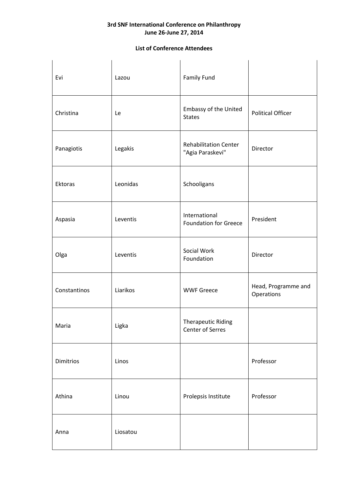| Evi          | Lazou    | <b>Family Fund</b>                               |                                   |
|--------------|----------|--------------------------------------------------|-----------------------------------|
| Christina    | Le       | <b>Embassy of the United</b><br><b>States</b>    | <b>Political Officer</b>          |
| Panagiotis   | Legakis  | <b>Rehabilitation Center</b><br>"Agia Paraskevi" | Director                          |
| Ektoras      | Leonidas | Schooligans                                      |                                   |
| Aspasia      | Leventis | International<br><b>Foundation for Greece</b>    | President                         |
| Olga         | Leventis | Social Work<br>Foundation                        | Director                          |
| Constantinos | Liarikos | <b>WWF Greece</b>                                | Head, Programme and<br>Operations |
| Maria        | Ligka    | <b>Therapeutic Riding</b><br>Center of Serres    |                                   |
| Dimitrios    | Linos    |                                                  | Professor                         |
| Athina       | Linou    | Prolepsis Institute                              | Professor                         |
| Anna         | Liosatou |                                                  |                                   |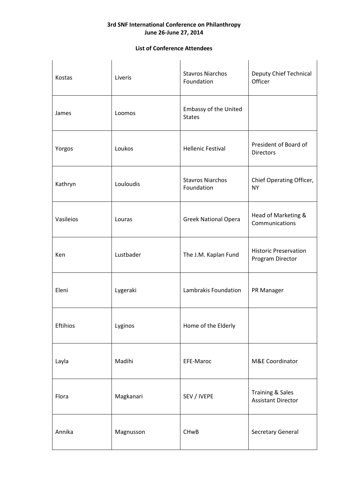| Kostas    | Liveris   | <b>Stavros Niarchos</b><br>Foundation         | Deputy Chief Technical<br>Officer                |
|-----------|-----------|-----------------------------------------------|--------------------------------------------------|
| James     | Loomos    | <b>Embassy of the United</b><br><b>States</b> |                                                  |
| Yorgos    | Loukos    | <b>Hellenic Festival</b>                      | President of Board of<br><b>Directors</b>        |
| Kathryn   | Louloudis | <b>Stavros Niarchos</b><br>Foundation         | Chief Operating Officer,<br><b>NY</b>            |
| Vasileios | Louras    | <b>Greek National Opera</b>                   | Head of Marketing &<br>Communications            |
| Ken       | Lustbader | The J.M. Kaplan Fund                          | <b>Historic Preservation</b><br>Program Director |
| Eleni     | Lygeraki  | Lambrakis Foundation                          | PR Manager                                       |
| Eftihios  | Lyginos   | Home of the Elderly                           |                                                  |
| Layla     | Madihi    | EFE-Maroc                                     | M&E Coordinator                                  |
| Flora     | Magkanari | SEV / IVEPE                                   | Training & Sales<br><b>Assistant Director</b>    |
| Annika    | Magnusson | CHwB                                          | Secretary General                                |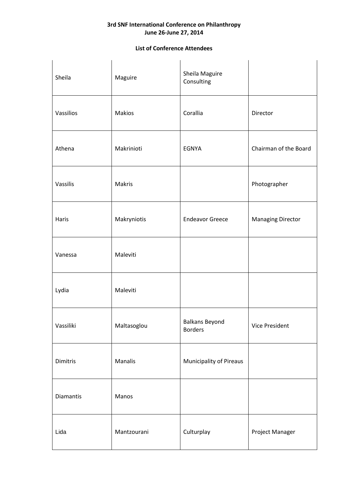| Sheila    | Maguire     | Sheila Maguire<br>Consulting            |                          |
|-----------|-------------|-----------------------------------------|--------------------------|
| Vassilios | Makios      | Corallia                                | Director                 |
| Athena    | Makrinioti  | EGNYA                                   | Chairman of the Board    |
| Vassilis  | Makris      |                                         | Photographer             |
| Haris     | Makryniotis | <b>Endeavor Greece</b>                  | <b>Managing Director</b> |
| Vanessa   | Maleviti    |                                         |                          |
| Lydia     | Maleviti    |                                         |                          |
| Vassiliki | Maltasoglou | <b>Balkans Beyond</b><br><b>Borders</b> | <b>Vice President</b>    |
| Dimitris  | Manalis     | Municipality of Pireaus                 |                          |
| Diamantis | Manos       |                                         |                          |
| Lida      | Mantzourani | Culturplay                              | Project Manager          |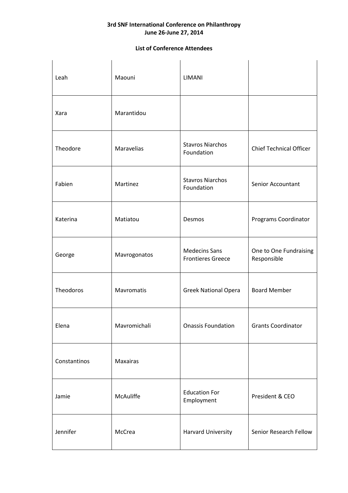| Leah         | Maouni       | LIMANI                                           |                                       |
|--------------|--------------|--------------------------------------------------|---------------------------------------|
| Xara         | Marantidou   |                                                  |                                       |
| Theodore     | Maravelias   | <b>Stavros Niarchos</b><br>Foundation            | <b>Chief Technical Officer</b>        |
| Fabien       | Martinez     | <b>Stavros Niarchos</b><br>Foundation            | Senior Accountant                     |
| Katerina     | Matiatou     | Desmos                                           | Programs Coordinator                  |
| George       | Mavrogonatos | <b>Medecins Sans</b><br><b>Frontieres Greece</b> | One to One Fundraising<br>Responsible |
| Theodoros    | Mavromatis   | <b>Greek National Opera</b>                      | <b>Board Member</b>                   |
| Elena        | Mavromichali | <b>Onassis Foundation</b>                        | <b>Grants Coordinator</b>             |
| Constantinos | Maxairas     |                                                  |                                       |
| Jamie        | McAuliffe    | <b>Education For</b><br>Employment               | President & CEO                       |
| Jennifer     | McCrea       | <b>Harvard University</b>                        | Senior Research Fellow                |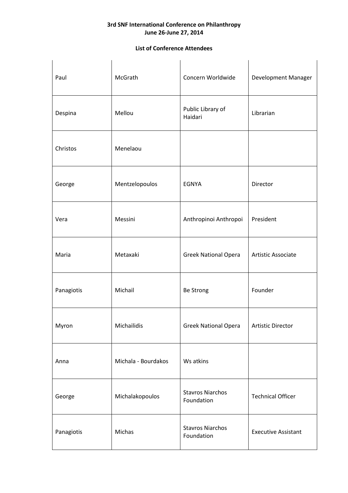| Paul       | McGrath             | Concern Worldwide                     | Development Manager        |
|------------|---------------------|---------------------------------------|----------------------------|
| Despina    | Mellou              | Public Library of<br>Haidari          | Librarian                  |
| Christos   | Menelaou            |                                       |                            |
| George     | Mentzelopoulos      | <b>EGNYA</b>                          | Director                   |
| Vera       | Messini             | Anthropinoi Anthropoi                 | President                  |
| Maria      | Metaxaki            | <b>Greek National Opera</b>           | Artistic Associate         |
| Panagiotis | Michail             | <b>Be Strong</b>                      | Founder                    |
| Myron      | Michailidis         | <b>Greek National Opera</b>           | <b>Artistic Director</b>   |
| Anna       | Michala - Bourdakos | Ws atkins                             |                            |
| George     | Michalakopoulos     | <b>Stavros Niarchos</b><br>Foundation | <b>Technical Officer</b>   |
| Panagiotis | Michas              | <b>Stavros Niarchos</b><br>Foundation | <b>Executive Assistant</b> |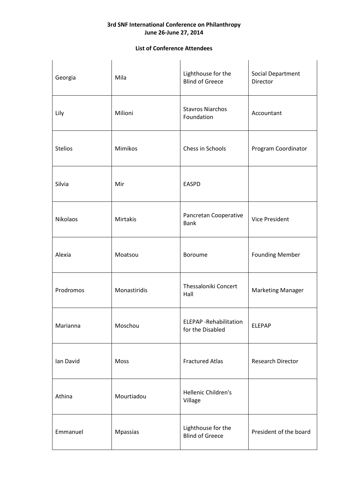| Georgia         | Mila         | Lighthouse for the<br><b>Blind of Greece</b>       | Social Department<br>Director |
|-----------------|--------------|----------------------------------------------------|-------------------------------|
| Lily            | Milioni      | <b>Stavros Niarchos</b><br>Foundation              | Accountant                    |
| <b>Stelios</b>  | Mimikos      | Chess in Schools                                   | Program Coordinator           |
| Silvia          | Mir          | <b>EASPD</b>                                       |                               |
| <b>Nikolaos</b> | Mirtakis     | Pancretan Cooperative<br><b>Bank</b>               | <b>Vice President</b>         |
| Alexia          | Moatsou      | Boroume                                            | <b>Founding Member</b>        |
| Prodromos       | Monastiridis | Thessaloniki Concert<br>Hall                       | <b>Marketing Manager</b>      |
| Marianna        | Moschou      | <b>ELEPAP</b> - Rehabilitation<br>for the Disabled | <b>ELEPAP</b>                 |
| Ian David       | Moss         | <b>Fractured Atlas</b>                             | Research Director             |
| Athina          | Mourtiadou   | Hellenic Children's<br>Village                     |                               |
| Emmanuel        | Mpassias     | Lighthouse for the<br><b>Blind of Greece</b>       | President of the board        |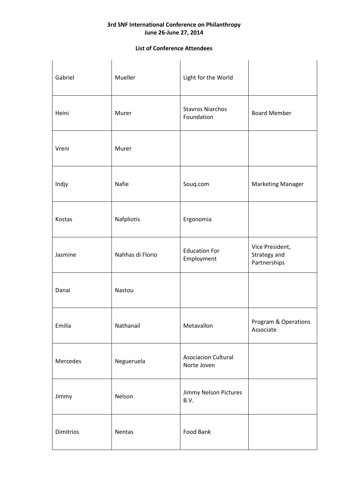| Gabriel   | Mueller          | Light for the World                       |                                                 |
|-----------|------------------|-------------------------------------------|-------------------------------------------------|
| Heini     | Murer            | <b>Stavros Niarchos</b><br>Foundation     | <b>Board Member</b>                             |
| Vreni     | Murer            |                                           |                                                 |
| Indjy     | Nafie            | Souq.com                                  | <b>Marketing Manager</b>                        |
| Kostas    | Nafpliotis       | Ergonomia                                 |                                                 |
| Jasmine   | Nahhas di Florio | <b>Education For</b><br>Employment        | Vice President,<br>Strategy and<br>Partnerships |
| Danai     | Nastou           |                                           |                                                 |
| Emilia    | Nathanail        | Metavallon                                | Program & Operations<br>Associate               |
| Mercedes  | Negueruela       | <b>Asociacion Cultural</b><br>Norte Joven |                                                 |
| Jimmy     | Nelson           | Jimmy Nelson Pictures<br>B.V.             |                                                 |
| Dimitrios | Nentas           | Food Bank                                 |                                                 |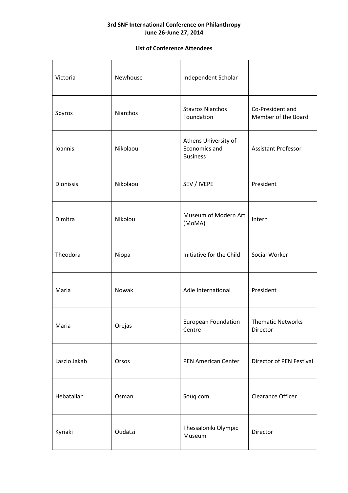| Victoria         | Newhouse | Independent Scholar                                      |                                         |
|------------------|----------|----------------------------------------------------------|-----------------------------------------|
| Spyros           | Niarchos | <b>Stavros Niarchos</b><br>Foundation                    | Co-President and<br>Member of the Board |
| Ioannis          | Nikolaou | Athens University of<br>Economics and<br><b>Business</b> | <b>Assistant Professor</b>              |
| <b>Dionissis</b> | Nikolaou | SEV / IVEPE                                              | President                               |
| Dimitra          | Nikolou  | Museum of Modern Art<br>(MoMA)                           | Intern                                  |
| Theodora         | Niopa    | Initiative for the Child                                 | Social Worker                           |
| Maria            | Nowak    | Adie International                                       | President                               |
| Maria            | Orejas   | European Foundation<br>Centre                            | <b>Thematic Networks</b><br>Director    |
| Laszlo Jakab     | Orsos    | PEN American Center                                      | Director of PEN Festival                |
| Hebatallah       | Osman    | Souq.com                                                 | <b>Clearance Officer</b>                |
| Kyriaki          | Oudatzi  | Thessaloniki Olympic<br>Museum                           | Director                                |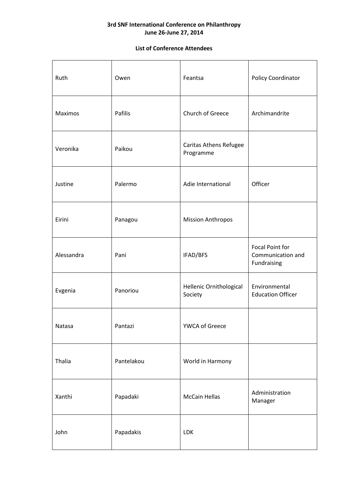| Ruth       | Owen       | Feantsa                             | Policy Coordinator                                         |
|------------|------------|-------------------------------------|------------------------------------------------------------|
| Maximos    | Pafilis    | Church of Greece                    | Archimandrite                                              |
| Veronika   | Paikou     | Caritas Athens Refugee<br>Programme |                                                            |
| Justine    | Palermo    | Adie International                  | Officer                                                    |
| Eirini     | Panagou    | <b>Mission Anthropos</b>            |                                                            |
| Alessandra | Pani       | IFAD/BFS                            | <b>Focal Point for</b><br>Communication and<br>Fundraising |
| Evgenia    | Panoriou   | Hellenic Ornithological<br>Society  | Environmental<br><b>Education Officer</b>                  |
| Natasa     | Pantazi    | YWCA of Greece                      |                                                            |
| Thalia     | Pantelakou | World in Harmony                    |                                                            |
| Xanthi     | Papadaki   | <b>McCain Hellas</b>                | Administration<br>Manager                                  |
| John       | Papadakis  | <b>LDK</b>                          |                                                            |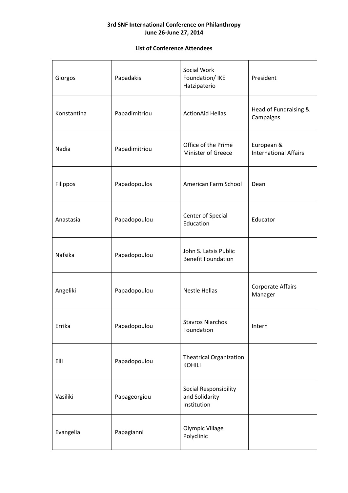| Giorgos     | Papadakis     | Social Work<br>Foundation/ IKE<br>Hatzipaterio         | President                                  |
|-------------|---------------|--------------------------------------------------------|--------------------------------------------|
| Konstantina | Papadimitriou | <b>ActionAid Hellas</b>                                | Head of Fundraising &<br>Campaigns         |
| Nadia       | Papadimitriou | Office of the Prime<br><b>Minister of Greece</b>       | European &<br><b>International Affairs</b> |
| Filippos    | Papadopoulos  | American Farm School                                   | Dean                                       |
| Anastasia   | Papadopoulou  | Center of Special<br>Education                         | Educator                                   |
| Nafsika     | Papadopoulou  | John S. Latsis Public<br><b>Benefit Foundation</b>     |                                            |
| Angeliki    | Papadopoulou  | Nestle Hellas                                          | <b>Corporate Affairs</b><br>Manager        |
| Errika      | Papadopoulou  | <b>Stavros Niarchos</b><br>Foundation                  | Intern                                     |
| Elli        | Papadopoulou  | <b>Theatrical Organization</b><br><b>KOHILI</b>        |                                            |
| Vasiliki    | Papageorgiou  | Social Responsibility<br>and Solidarity<br>Institution |                                            |
| Evangelia   | Papagianni    | Olympic Village<br>Polyclinic                          |                                            |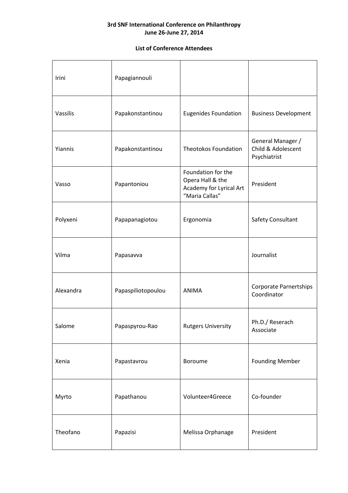| Irini     | Papagiannouli      |                                                                                     |                                                         |
|-----------|--------------------|-------------------------------------------------------------------------------------|---------------------------------------------------------|
| Vassilis  | Papakonstantinou   | <b>Eugenides Foundation</b>                                                         | <b>Business Development</b>                             |
| Yiannis   | Papakonstantinou   | <b>Theotokos Foundation</b>                                                         | General Manager /<br>Child & Adolescent<br>Psychiatrist |
| Vasso     | Papantoniou        | Foundation for the<br>Opera Hall & the<br>Academy for Lyrical Art<br>"Maria Callas" | President                                               |
| Polyxeni  | Papapanagiotou     | Ergonomia                                                                           | Safety Consultant                                       |
| Vilma     | Papasavva          |                                                                                     | Journalist                                              |
| Alexandra | Papaspiliotopoulou | ANIMA                                                                               | <b>Corporate Parnertships</b><br>Coordinator            |
| Salome    | Papaspyrou-Rao     | <b>Rutgers University</b>                                                           | Ph.D./ Reserach<br>Associate                            |
| Xenia     | Papastavrou        | Boroume                                                                             | <b>Founding Member</b>                                  |
| Myrto     | Papathanou         | Volunteer4Greece                                                                    | Co-founder                                              |
| Theofano  | Papazisi           | Melissa Orphanage                                                                   | President                                               |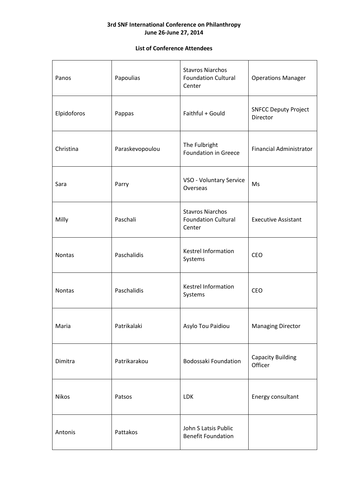| Panos         | Papoulias       | <b>Stavros Niarchos</b><br><b>Foundation Cultural</b><br>Center | <b>Operations Manager</b>                      |
|---------------|-----------------|-----------------------------------------------------------------|------------------------------------------------|
| Elpidoforos   | Pappas          | Faithful + Gould                                                | <b>SNFCC Deputy Project</b><br><b>Director</b> |
| Christina     | Paraskevopoulou | The Fulbright<br><b>Foundation in Greece</b>                    | <b>Financial Administrator</b>                 |
| Sara          | Parry           | VSO - Voluntary Service<br>Overseas                             | Ms                                             |
| Milly         | Paschali        | <b>Stavros Niarchos</b><br><b>Foundation Cultural</b><br>Center | <b>Executive Assistant</b>                     |
| <b>Nontas</b> | Paschalidis     | <b>Kestrel Information</b><br>Systems                           | <b>CEO</b>                                     |
| <b>Nontas</b> | Paschalidis     | <b>Kestrel Information</b><br>Systems                           | CEO                                            |
| Maria         | Patrikalaki     | Asylo Tou Paidiou                                               | <b>Managing Director</b>                       |
| Dimitra       | Patrikarakou    | Bodossaki Foundation                                            | <b>Capacity Building</b><br>Officer            |
| Nikos         | Patsos          | <b>LDK</b>                                                      | Energy consultant                              |
| Antonis       | Pattakos        | John S Latsis Public<br><b>Benefit Foundation</b>               |                                                |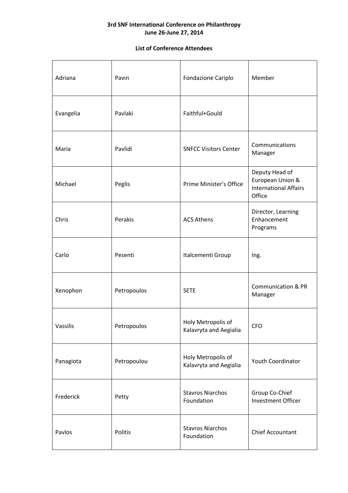| Adriana   | Pavin       | Fondazione Cariplo                           | Member                                                                       |
|-----------|-------------|----------------------------------------------|------------------------------------------------------------------------------|
| Evangelia | Pavlaki     | Faithful+Gould                               |                                                                              |
| Maria     | Pavlidi     | <b>SNFCC Visitors Center</b>                 | Communications<br>Manager                                                    |
| Michael   | Peglis      | Prime Minister's Office                      | Deputy Head of<br>European Union &<br><b>International Affairs</b><br>Office |
| Chris     | Perakis     | <b>ACS Athens</b>                            | Director, Learning<br>Enhancement<br>Programs                                |
| Carlo     | Pesenti     | Italcementi Group                            | Ing.                                                                         |
| Xenophon  | Petropoulos | <b>SETE</b>                                  | <b>Communication &amp; PR</b><br>Manager                                     |
| Vassilis  | Petropoulos | Holy Metropolis of<br>Kalavryta and Aegialia | <b>CFO</b>                                                                   |
| Panagiota | Petropoulou | Holy Metropolis of<br>Kalavryta and Aegialia | Youth Coordinator                                                            |
| Frederick | Petty       | <b>Stavros Niarchos</b><br>Foundation        | Group Co-Chief<br><b>Investment Officer</b>                                  |
| Pavlos    | Politis     | <b>Stavros Niarchos</b><br>Foundation        | Chief Accountant                                                             |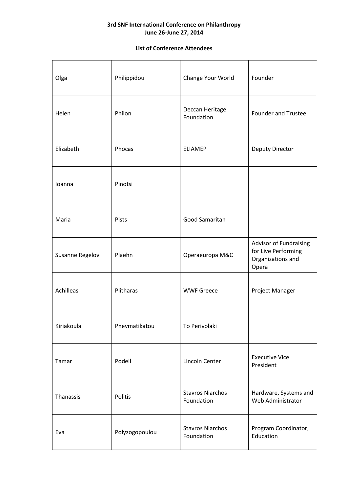| Olga            | Philippidou    | Change Your World                     | Founder                                                                            |
|-----------------|----------------|---------------------------------------|------------------------------------------------------------------------------------|
| Helen           | Philon         | Deccan Heritage<br>Foundation         | <b>Founder and Trustee</b>                                                         |
| Elizabeth       | Phocas         | <b>ELIAMEP</b>                        | Deputy Director                                                                    |
| Ioanna          | Pinotsi        |                                       |                                                                                    |
| Maria           | Pists          | Good Samaritan                        |                                                                                    |
| Susanne Regelov | Plaehn         | Operaeuropa M&C                       | <b>Advisor of Fundraising</b><br>for Live Performing<br>Organizations and<br>Opera |
| Achilleas       | Plitharas      | <b>WWF Greece</b>                     | Project Manager                                                                    |
| Kiriakoula      | Pnevmatikatou  | To Perivolaki                         |                                                                                    |
| Tamar           | Podell         | Lincoln Center                        | <b>Executive Vice</b><br>President                                                 |
| Thanassis       | Politis        | <b>Stavros Niarchos</b><br>Foundation | Hardware, Systems and<br>Web Administrator                                         |
| Eva             | Polyzogopoulou | <b>Stavros Niarchos</b><br>Foundation | Program Coordinator,<br>Education                                                  |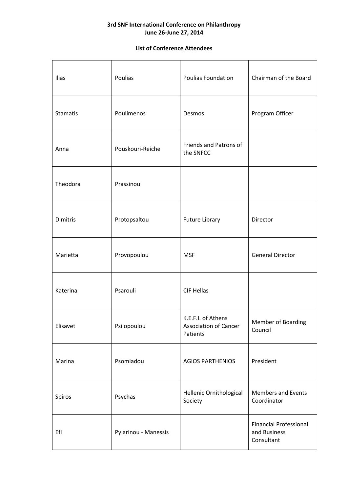| Ilias           | Poulias              | <b>Poulias Foundation</b>                                      | Chairman of the Board                                       |
|-----------------|----------------------|----------------------------------------------------------------|-------------------------------------------------------------|
| <b>Stamatis</b> | Poulimenos           | Desmos                                                         | Program Officer                                             |
| Anna            | Pouskouri-Reiche     | Friends and Patrons of<br>the SNFCC                            |                                                             |
| Theodora        | Prassinou            |                                                                |                                                             |
| Dimitris        | Protopsaltou         | <b>Future Library</b>                                          | Director                                                    |
| Marietta        | Provopoulou          | <b>MSF</b>                                                     | <b>General Director</b>                                     |
| Katerina        | Psarouli             | <b>CIF Hellas</b>                                              |                                                             |
| Elisavet        | Psilopoulou          | K.E.F.I. of Athens<br><b>Association of Cancer</b><br>Patients | Member of Boarding<br>Council                               |
| Marina          | Psomiadou            | <b>AGIOS PARTHENIOS</b>                                        | President                                                   |
| Spiros          | Psychas              | Hellenic Ornithological<br>Society                             | <b>Members and Events</b><br>Coordinator                    |
| Efi             | Pylarinou - Manessis |                                                                | <b>Financial Professional</b><br>and Business<br>Consultant |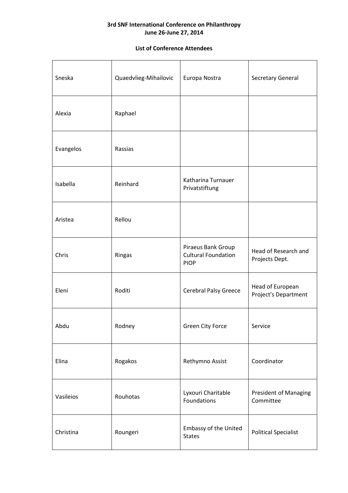| Sneska    | Quaedvlieg-Mihailovic | Europa Nostra                                                   | Secretary General                         |
|-----------|-----------------------|-----------------------------------------------------------------|-------------------------------------------|
| Alexia    | Raphael               |                                                                 |                                           |
| Evangelos | Rassias               |                                                                 |                                           |
| Isabella  | Reinhard              | Katharina Turnauer<br>Privatstiftung                            |                                           |
| Aristea   | Rellou                |                                                                 |                                           |
| Chris     | Ringas                | Piraeus Bank Group<br><b>Cultural Foundation</b><br><b>PIOP</b> | Head of Research and<br>Projects Dept.    |
| Eleni     | Roditi                | <b>Cerebral Palsy Greece</b>                                    | Head of European<br>Project's Department  |
| Abdu      | Rodney                | <b>Green City Force</b>                                         | Service                                   |
| Elina     | Rogakos               | Rethymno Assist                                                 | Coordinator                               |
| Vasileios | Rouhotas              | Lyxouri Charitable<br>Foundations                               | <b>President of Managing</b><br>Committee |
| Christina | Roungeri              | Embassy of the United<br><b>States</b>                          | <b>Political Specialist</b>               |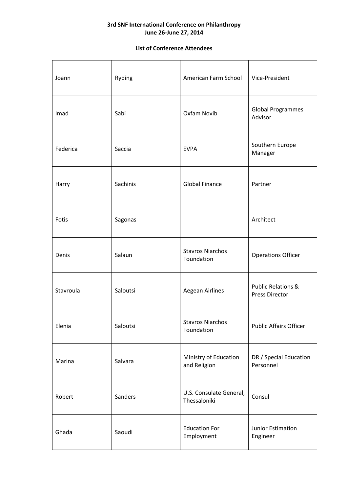| Joann     | Ryding   | American Farm School                    | Vice-President                                         |
|-----------|----------|-----------------------------------------|--------------------------------------------------------|
| Imad      | Sabi     | Oxfam Novib                             | <b>Global Programmes</b><br>Advisor                    |
| Federica  | Saccia   | <b>EVPA</b>                             | Southern Europe<br>Manager                             |
| Harry     | Sachinis | <b>Global Finance</b>                   | Partner                                                |
| Fotis     | Sagonas  |                                         | Architect                                              |
| Denis     | Salaun   | <b>Stavros Niarchos</b><br>Foundation   | <b>Operations Officer</b>                              |
| Stavroula | Saloutsi | Aegean Airlines                         | <b>Public Relations &amp;</b><br><b>Press Director</b> |
| Elenia    | Saloutsi | <b>Stavros Niarchos</b><br>Foundation   | <b>Public Affairs Officer</b>                          |
| Marina    | Salvara  | Ministry of Education<br>and Religion   | DR / Special Education<br>Personnel                    |
| Robert    | Sanders  | U.S. Consulate General,<br>Thessaloniki | Consul                                                 |
| Ghada     | Saoudi   | <b>Education For</b><br>Employment      | Junior Estimation<br>Engineer                          |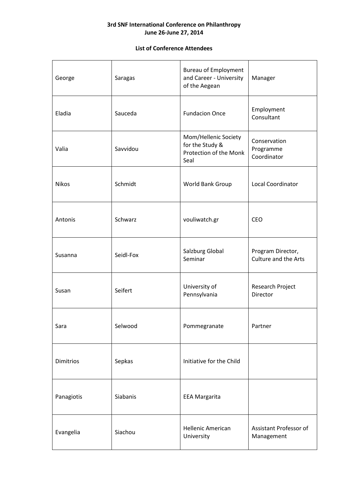| George       | Saragas   | <b>Bureau of Employment</b><br>and Career - University<br>of the Aegean   | Manager                                   |
|--------------|-----------|---------------------------------------------------------------------------|-------------------------------------------|
| Eladia       | Sauceda   | <b>Fundacion Once</b>                                                     | Employment<br>Consultant                  |
| Valia        | Savvidou  | Mom/Hellenic Society<br>for the Study &<br>Protection of the Monk<br>Seal | Conservation<br>Programme<br>Coordinator  |
| <b>Nikos</b> | Schmidt   | World Bank Group                                                          | Local Coordinator                         |
| Antonis      | Schwarz   | vouliwatch.gr                                                             | <b>CEO</b>                                |
| Susanna      | Seidl-Fox | Salzburg Global<br>Seminar                                                | Program Director,<br>Culture and the Arts |
| Susan        | Seifert   | University of<br>Pennsylvania                                             | Research Project<br>Director              |
| Sara         | Selwood   | Pommegranate                                                              | Partner                                   |
| Dimitrios    | Sepkas    | Initiative for the Child                                                  |                                           |
| Panagiotis   | Siabanis  | <b>EEA Margarita</b>                                                      |                                           |
| Evangelia    | Siachou   | <b>Hellenic American</b><br>University                                    | Assistant Professor of<br>Management      |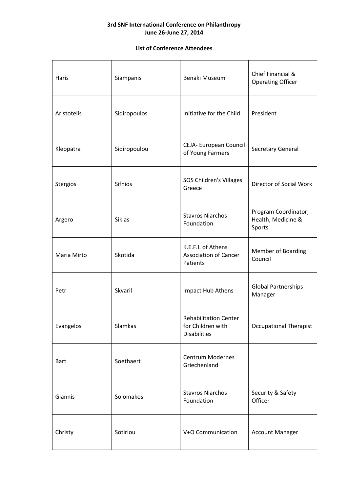| <b>Haris</b>    | Siampanis      | Benaki Museum                                                            | Chief Financial &<br><b>Operating Officer</b>        |
|-----------------|----------------|--------------------------------------------------------------------------|------------------------------------------------------|
| Aristotelis     | Sidiropoulos   | Initiative for the Child                                                 | President                                            |
| Kleopatra       | Sidiropoulou   | CEJA- European Council<br>of Young Farmers                               | Secretary General                                    |
| <b>Stergios</b> | <b>Sifnios</b> | <b>SOS Children's Villages</b><br>Greece                                 | Director of Social Work                              |
| Argero          | <b>Siklas</b>  | <b>Stavros Niarchos</b><br>Foundation                                    | Program Coordinator,<br>Health, Medicine &<br>Sports |
| Maria Mirto     | Skotida        | K.E.F.I. of Athens<br><b>Association of Cancer</b><br>Patients           | <b>Member of Boarding</b><br>Council                 |
| Petr            | Skvaril        | Impact Hub Athens                                                        | <b>Global Partnerships</b><br>Manager                |
| Evangelos       | Slamkas        | <b>Rehabilitation Center</b><br>for Children with<br><b>Disabilities</b> | <b>Occupational Therapist</b>                        |
| Bart            | Soethaert      | <b>Centrum Modernes</b><br>Griechenland                                  |                                                      |
| Giannis         | Solomakos      | <b>Stavros Niarchos</b><br>Foundation                                    | Security & Safety<br>Officer                         |
| Christy         | Sotiriou       | V+O Communication                                                        | <b>Account Manager</b>                               |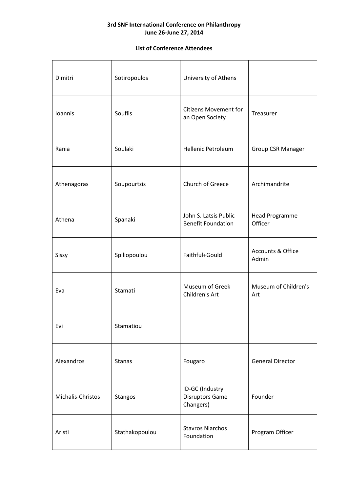| Dimitri           | Sotiropoulos   | University of Athens                                   |                                  |
|-------------------|----------------|--------------------------------------------------------|----------------------------------|
| Ioannis           | Souflis        | <b>Citizens Movement for</b><br>an Open Society        | Treasurer                        |
| Rania             | Soulaki        | <b>Hellenic Petroleum</b>                              | Group CSR Manager                |
| Athenagoras       | Soupourtzis    | Church of Greece                                       | Archimandrite                    |
| Athena            | Spanaki        | John S. Latsis Public<br><b>Benefit Foundation</b>     | <b>Head Programme</b><br>Officer |
| Sissy             | Spiliopoulou   | Faithful+Gould                                         | Accounts & Office<br>Admin       |
| Eva               | Stamati        | Museum of Greek<br>Children's Art                      | Museum of Children's<br>Art      |
| Evi               | Stamatiou      |                                                        |                                  |
| Alexandros        | <b>Stanas</b>  | Fougaro                                                | <b>General Director</b>          |
| Michalis-Christos | <b>Stangos</b> | ID-GC (Industry<br><b>Disruptors Game</b><br>Changers) | Founder                          |
| Aristi            | Stathakopoulou | <b>Stavros Niarchos</b><br>Foundation                  | Program Officer                  |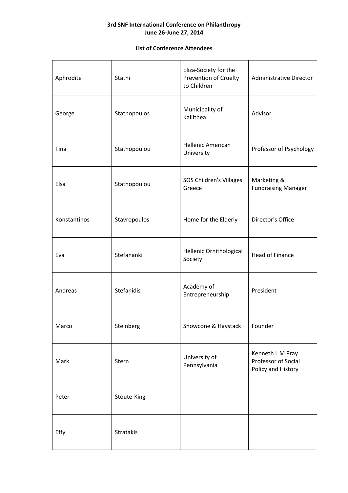| Aphrodite    | Stathi       | Eliza-Society for the<br>Prevention of Cruelty<br>to Children | <b>Administrative Director</b>                                |
|--------------|--------------|---------------------------------------------------------------|---------------------------------------------------------------|
| George       | Stathopoulos | Municipality of<br>Kallithea                                  | Advisor                                                       |
| Tina         | Stathopoulou | <b>Hellenic American</b><br>University                        | Professor of Psychology                                       |
| Elsa         | Stathopoulou | <b>SOS Children's Villages</b><br>Greece                      | Marketing &<br><b>Fundraising Manager</b>                     |
| Konstantinos | Stavropoulos | Home for the Elderly                                          | Director's Office                                             |
| Eva          | Stefananki   | Hellenic Ornithological<br>Society                            | <b>Head of Finance</b>                                        |
| Andreas      | Stefanidis   | Academy of<br>Entrepreneurship                                | President                                                     |
| Marco        | Steinberg    | Snowcone & Haystack                                           | Founder                                                       |
| Mark         | Stern        | University of<br>Pennsylvania                                 | Kenneth L M Pray<br>Professor of Social<br>Policy and History |
| Peter        | Stoute-King  |                                                               |                                                               |
| Effy         | Stratakis    |                                                               |                                                               |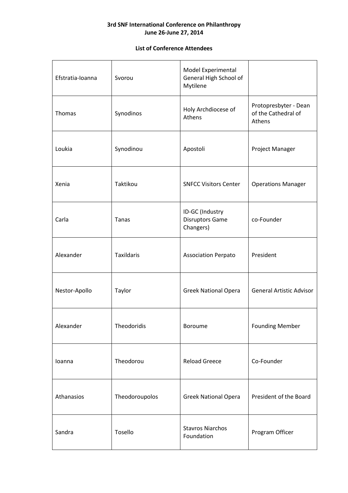| Efstratia-Ioanna | Svorou         | Model Experimental<br>General High School of<br>Mytilene |                                                        |
|------------------|----------------|----------------------------------------------------------|--------------------------------------------------------|
| Thomas           | Synodinos      | Holy Archdiocese of<br>Athens                            | Protopresbyter - Dean<br>of the Cathedral of<br>Athens |
| Loukia           | Synodinou      | Apostoli                                                 | Project Manager                                        |
| Xenia            | Taktikou       | <b>SNFCC Visitors Center</b>                             | <b>Operations Manager</b>                              |
| Carla            | <b>Tanas</b>   | ID-GC (Industry<br><b>Disruptors Game</b><br>Changers)   | co-Founder                                             |
| Alexander        | Taxildaris     | <b>Association Perpato</b>                               | President                                              |
| Nestor-Apollo    | Taylor         | <b>Greek National Opera</b>                              | <b>General Artistic Advisor</b>                        |
| Alexander        | Theodoridis    | Boroume                                                  | <b>Founding Member</b>                                 |
| Ioanna           | Theodorou      | <b>Reload Greece</b>                                     | Co-Founder                                             |
| Athanasios       | Theodoroupolos | <b>Greek National Opera</b>                              | President of the Board                                 |
| Sandra           | Tosello        | <b>Stavros Niarchos</b><br>Foundation                    | Program Officer                                        |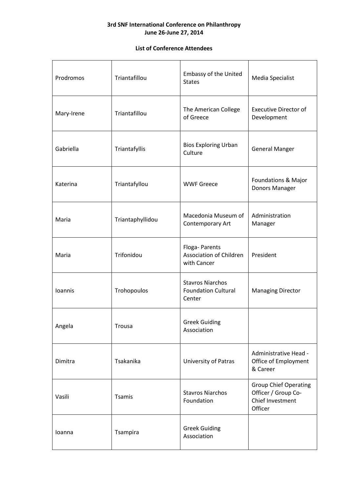| Prodromos  | Triantafillou    | <b>Embassy of the United</b><br><b>States</b>                   | Media Specialist                                                                   |
|------------|------------------|-----------------------------------------------------------------|------------------------------------------------------------------------------------|
| Mary-Irene | Triantafillou    | The American College<br>of Greece                               | <b>Executive Director of</b><br>Development                                        |
| Gabriella  | Triantafyllis    | <b>Bios Exploring Urban</b><br>Culture                          | <b>General Manger</b>                                                              |
| Katerina   | Triantafyllou    | <b>WWF Greece</b>                                               | Foundations & Major<br>Donors Manager                                              |
| Maria      | Triantaphyllidou | Macedonia Museum of<br>Contemporary Art                         | Administration<br>Manager                                                          |
| Maria      | Trifonidou       | Floga- Parents<br><b>Association of Children</b><br>with Cancer | President                                                                          |
| Ioannis    | Trohopoulos      | <b>Stavros Niarchos</b><br><b>Foundation Cultural</b><br>Center | <b>Managing Director</b>                                                           |
| Angela     | Trousa           | <b>Greek Guiding</b><br>Association                             |                                                                                    |
| Dimitra    | Tsakanika        | University of Patras                                            | Administrative Head -<br>Office of Employment<br>& Career                          |
| Vasili     | Tsamis           | <b>Stavros Niarchos</b><br>Foundation                           | <b>Group Chief Operating</b><br>Officer / Group Co-<br>Chief Investment<br>Officer |
| Ioanna     | Tsampira         | <b>Greek Guiding</b><br>Association                             |                                                                                    |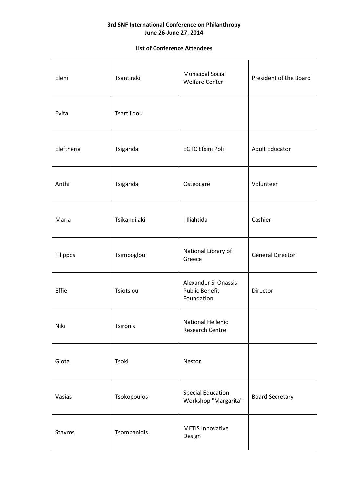| Eleni      | Tsantiraki   | <b>Municipal Social</b><br><b>Welfare Center</b>            | President of the Board  |
|------------|--------------|-------------------------------------------------------------|-------------------------|
| Evita      | Tsartilidou  |                                                             |                         |
| Eleftheria | Tsigarida    | <b>EGTC Efxini Poli</b>                                     | <b>Adult Educator</b>   |
| Anthi      | Tsigarida    | Osteocare                                                   | Volunteer               |
| Maria      | Tsikandilaki | I Iliahtida                                                 | Cashier                 |
| Filippos   | Tsimpoglou   | National Library of<br>Greece                               | <b>General Director</b> |
| Effie      | Tsiotsiou    | Alexander S. Onassis<br><b>Public Benefit</b><br>Foundation | Director                |
| Niki       | Tsironis     | National Hellenic<br>Research Centre                        |                         |
| Giota      | Tsoki        | Nestor                                                      |                         |
| Vasias     | Tsokopoulos  | <b>Special Education</b><br>Workshop "Margarita"            | <b>Board Secretary</b>  |
| Stavros    | Tsompanidis  | <b>METIS Innovative</b><br>Design                           |                         |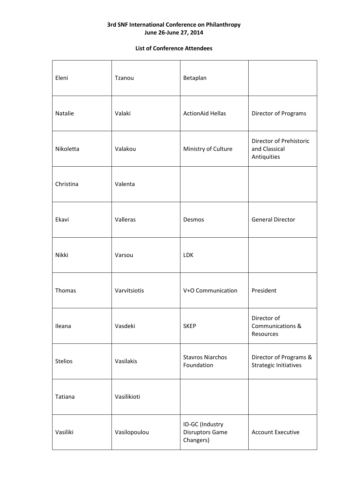| Eleni          | Tzanou       | Betaplan                                               |                                                         |
|----------------|--------------|--------------------------------------------------------|---------------------------------------------------------|
| Natalie        | Valaki       | <b>ActionAid Hellas</b>                                | Director of Programs                                    |
| Nikoletta      | Valakou      | Ministry of Culture                                    | Director of Prehistoric<br>and Classical<br>Antiquities |
| Christina      | Valenta      |                                                        |                                                         |
| Ekavi          | Valleras     | Desmos                                                 | <b>General Director</b>                                 |
| Nikki          | Varsou       | <b>LDK</b>                                             |                                                         |
| Thomas         | Varvitsiotis | V+O Communication                                      | President                                               |
| Ileana         | Vasdeki      | <b>SKEP</b>                                            | Director of<br>Communications &<br>Resources            |
| <b>Stelios</b> | Vasilakis    | <b>Stavros Niarchos</b><br>Foundation                  | Director of Programs &<br><b>Strategic Initiatives</b>  |
| Tatiana        | Vasilikioti  |                                                        |                                                         |
| Vasiliki       | Vasilopoulou | ID-GC (Industry<br><b>Disruptors Game</b><br>Changers) | <b>Account Executive</b>                                |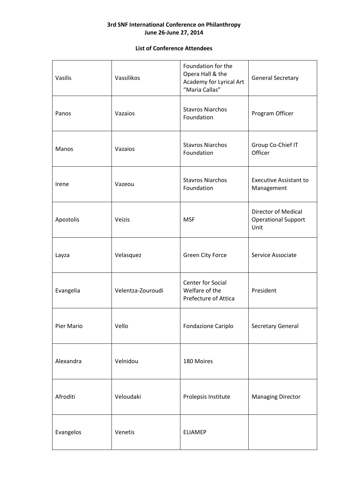| Vasilis    | Vassilikos        | Foundation for the<br>Opera Hall & the<br>Academy for Lyrical Art<br>"Maria Callas" | <b>General Secretary</b>                                         |
|------------|-------------------|-------------------------------------------------------------------------------------|------------------------------------------------------------------|
| Panos      | Vazaios           | <b>Stavros Niarchos</b><br>Foundation                                               | Program Officer                                                  |
| Manos      | Vazaios           | <b>Stavros Niarchos</b><br>Foundation                                               | Group Co-Chief IT<br>Officer                                     |
| Irene      | Vazeou            | <b>Stavros Niarchos</b><br>Foundation                                               | <b>Executive Assistant to</b><br>Management                      |
| Apostolis  | Veizis            | <b>MSF</b>                                                                          | <b>Director of Medical</b><br><b>Operational Support</b><br>Unit |
| Layza      | Velasquez         | <b>Green City Force</b>                                                             | Service Associate                                                |
| Evangelia  | Velentza-Zouroudi | Center for Social<br>Welfare of the<br>Prefecture of Attica                         | President                                                        |
| Pier Mario | Vello             | Fondazione Cariplo                                                                  | Secretary General                                                |
| Alexandra  | Velnidou          | 180 Moires                                                                          |                                                                  |
| Afroditi   | Veloudaki         | Prolepsis Institute                                                                 | <b>Managing Director</b>                                         |
| Evangelos  | Venetis           | <b>ELIAMEP</b>                                                                      |                                                                  |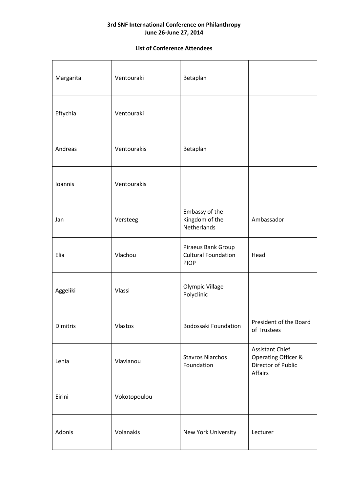| Margarita | Ventouraki   | Betaplan                                                        |                                                                                       |
|-----------|--------------|-----------------------------------------------------------------|---------------------------------------------------------------------------------------|
| Eftychia  | Ventouraki   |                                                                 |                                                                                       |
| Andreas   | Ventourakis  | Betaplan                                                        |                                                                                       |
| Ioannis   | Ventourakis  |                                                                 |                                                                                       |
| Jan       | Versteeg     | Embassy of the<br>Kingdom of the<br>Netherlands                 | Ambassador                                                                            |
| Elia      | Vlachou      | Piraeus Bank Group<br><b>Cultural Foundation</b><br><b>PIOP</b> | Head                                                                                  |
| Aggeliki  | Vlassi       | <b>Olympic Village</b><br>Polyclinic                            |                                                                                       |
| Dimitris  | Vlastos      | Bodossaki Foundation                                            | President of the Board<br>of Trustees                                                 |
| Lenia     | Vlavianou    | <b>Stavros Niarchos</b><br>Foundation                           | <b>Assistant Chief</b><br>Operating Officer &<br>Director of Public<br><b>Affairs</b> |
| Eirini    | Vokotopoulou |                                                                 |                                                                                       |
| Adonis    | Volanakis    | New York University                                             | Lecturer                                                                              |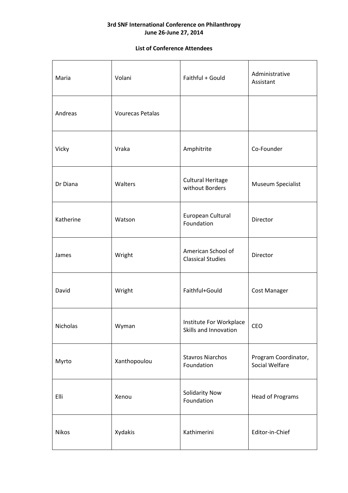| Maria     | Volani                  | Faithful + Gould                                 | Administrative<br>Assistant            |
|-----------|-------------------------|--------------------------------------------------|----------------------------------------|
| Andreas   | <b>Vourecas Petalas</b> |                                                  |                                        |
| Vicky     | Vraka                   | Amphitrite                                       | Co-Founder                             |
| Dr Diana  | Walters                 | <b>Cultural Heritage</b><br>without Borders      | Museum Specialist                      |
| Katherine | Watson                  | European Cultural<br>Foundation                  | Director                               |
| James     | Wright                  | American School of<br><b>Classical Studies</b>   | Director                               |
| David     | Wright                  | Faithful+Gould                                   | <b>Cost Manager</b>                    |
| Nicholas  | Wyman                   | Institute For Workplace<br>Skills and Innovation | CEO                                    |
| Myrto     | Xanthopoulou            | <b>Stavros Niarchos</b><br>Foundation            | Program Coordinator,<br>Social Welfare |
| Elli      | Xenou                   | Solidarity Now<br>Foundation                     | <b>Head of Programs</b>                |
| Nikos     | Xydakis                 | Kathimerini                                      | Editor-in-Chief                        |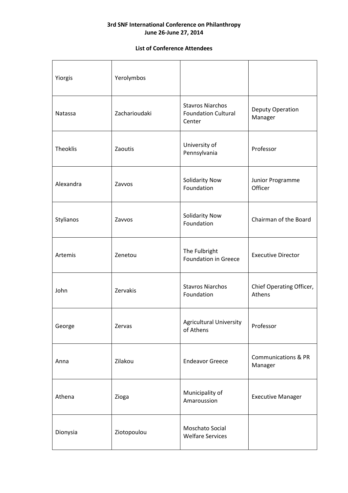| Yiorgis   | Yerolymbos    |                                                                 |                                           |
|-----------|---------------|-----------------------------------------------------------------|-------------------------------------------|
| Natassa   | Zacharioudaki | <b>Stavros Niarchos</b><br><b>Foundation Cultural</b><br>Center | Deputy Operation<br>Manager               |
| Theoklis  | Zaoutis       | University of<br>Pennsylvania                                   | Professor                                 |
| Alexandra | Zavvos        | <b>Solidarity Now</b><br>Foundation                             | Junior Programme<br>Officer               |
| Stylianos | Zavvos        | <b>Solidarity Now</b><br>Foundation                             | Chairman of the Board                     |
| Artemis   | Zenetou       | The Fulbright<br><b>Foundation in Greece</b>                    | <b>Executive Director</b>                 |
| John      | Zervakis      | <b>Stavros Niarchos</b><br>Foundation                           | Chief Operating Officer,<br>Athens        |
| George    | Zervas        | Agricultural University<br>of Athens                            | Professor                                 |
| Anna      | Zilakou       | <b>Endeavor Greece</b>                                          | <b>Communications &amp; PR</b><br>Manager |
| Athena    | Zioga         | Municipality of<br>Amaroussion                                  | <b>Executive Manager</b>                  |
| Dionysia  | Ziotopoulou   | Moschato Social<br><b>Welfare Services</b>                      |                                           |